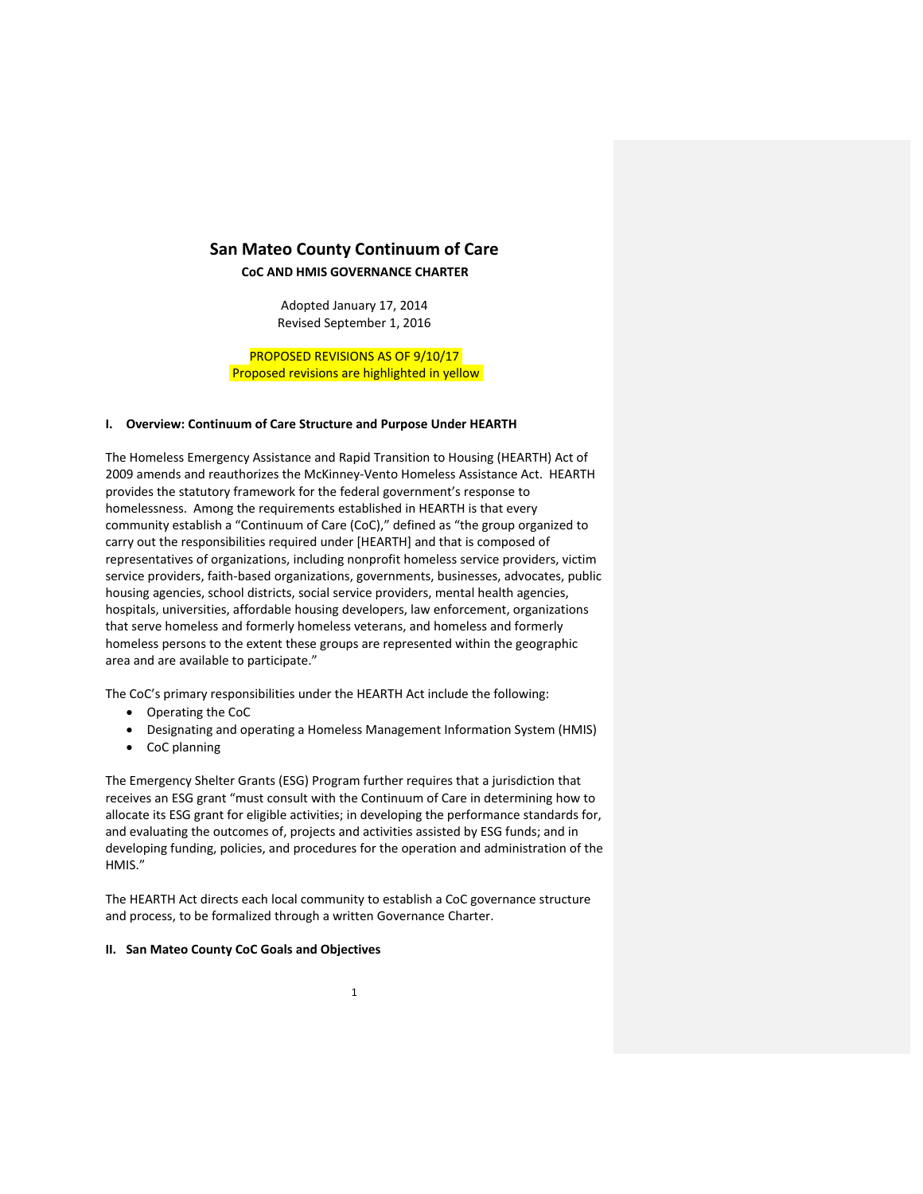# **San Mateo County Continuum of Care**

**CoC AND HMIS GOVERNANCE CHARTER**

Adopted January 17, 2014 Revised September 1, 2016

PROPOSED REVISIONS AS OF 9/10/17 Proposed revisions are highlighted in yellow

## **I. Overview: Continuum of Care Structure and Purpose Under HEARTH**

The Homeless Emergency Assistance and Rapid Transition to Housing (HEARTH) Act of 2009 amends and reauthorizes the McKinney‐Vento Homeless Assistance Act. HEARTH provides the statutory framework for the federal government's response to homelessness. Among the requirements established in HEARTH is that every community establish a "Continuum of Care (CoC)," defined as "the group organized to carry out the responsibilities required under [HEARTH] and that is composed of representatives of organizations, including nonprofit homeless service providers, victim service providers, faith-based organizations, governments, businesses, advocates, public housing agencies, school districts, social service providers, mental health agencies, hospitals, universities, affordable housing developers, law enforcement, organizations that serve homeless and formerly homeless veterans, and homeless and formerly homeless persons to the extent these groups are represented within the geographic area and are available to participate."

The CoC's primary responsibilities under the HEARTH Act include the following:

- Operating the CoC
- Designating and operating a Homeless Management Information System (HMIS)
- CoC planning

The Emergency Shelter Grants (ESG) Program further requires that a jurisdiction that receives an ESG grant "must consult with the Continuum of Care in determining how to allocate its ESG grant for eligible activities; in developing the performance standards for, and evaluating the outcomes of, projects and activities assisted by ESG funds; and in developing funding, policies, and procedures for the operation and administration of the HMIS."

The HEARTH Act directs each local community to establish a CoC governance structure and process, to be formalized through a written Governance Charter.

#### **II. San Mateo County CoC Goals and Objectives**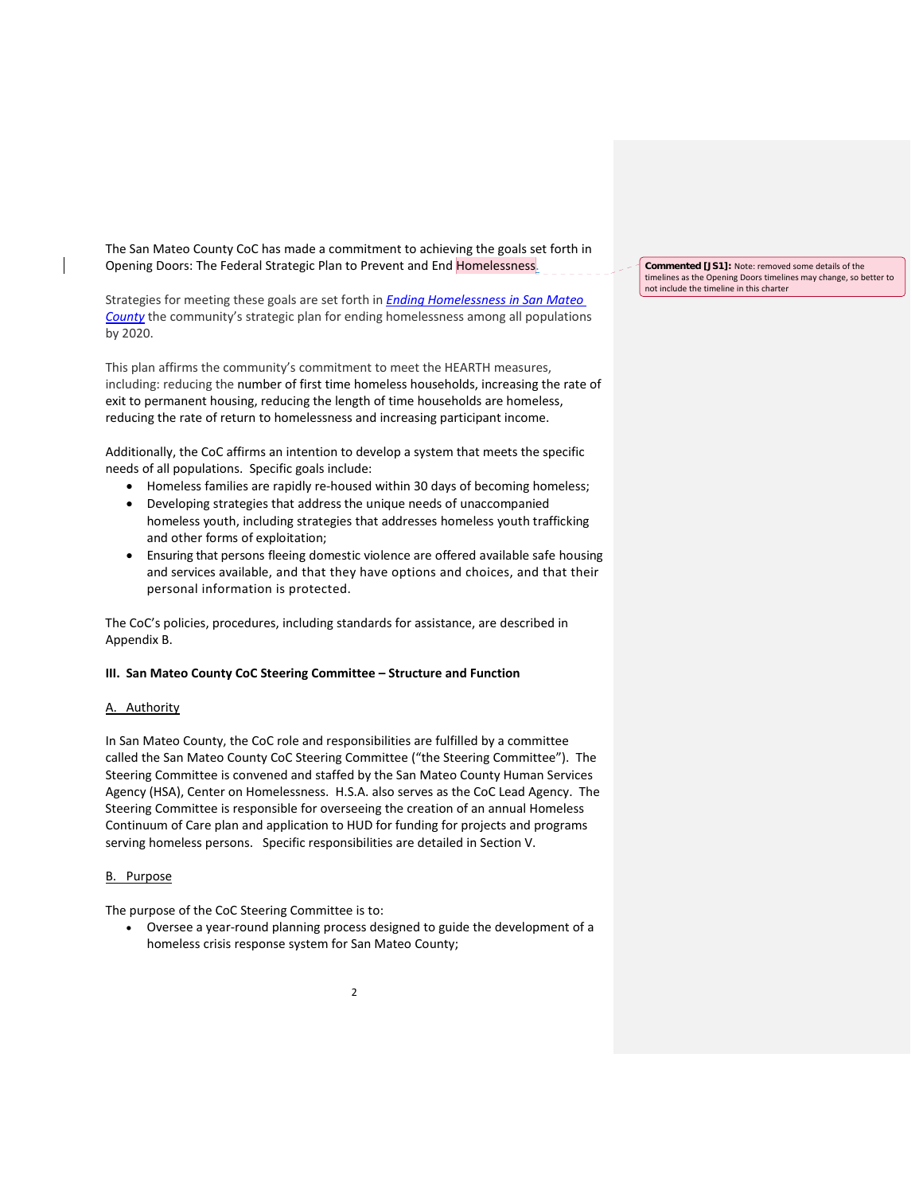The San Mateo County CoC has made a commitment to achieving the goals set forth in Opening Doors: The Federal Strategic Plan to Prevent and End Homelessness.

Strategies for meeting these goals are set forth in *Ending Homelessness in San Mateo County* the community's strategic plan for ending homelessness among all populations by 2020.

This plan affirms the community's commitment to meet the HEARTH measures, including: reducing the number of first time homeless households, increasing the rate of exit to permanent housing, reducing the length of time households are homeless, reducing the rate of return to homelessness and increasing participant income.

Additionally, the CoC affirms an intention to develop a system that meets the specific needs of all populations. Specific goals include:

- Homeless families are rapidly re-housed within 30 days of becoming homeless;
- Developing strategies that address the unique needs of unaccompanied homeless youth, including strategies that addresses homeless youth trafficking and other forms of exploitation;
- Ensuring that persons fleeing domestic violence are offered available safe housing and services available, and that they have options and choices, and that their personal information is protected.

The CoC's policies, procedures, including standards for assistance, are described in Appendix B.

## **III. San Mateo County CoC Steering Committee – Structure and Function**

#### A. Authority

In San Mateo County, the CoC role and responsibilities are fulfilled by a committee called the San Mateo County CoC Steering Committee ("the Steering Committee"). The Steering Committee is convened and staffed by the San Mateo County Human Services Agency (HSA), Center on Homelessness. H.S.A. also serves as the CoC Lead Agency. The Steering Committee is responsible for overseeing the creation of an annual Homeless Continuum of Care plan and application to HUD for funding for projects and programs serving homeless persons. Specific responsibilities are detailed in Section V.

#### B. Purpose

The purpose of the CoC Steering Committee is to:

 Oversee a year‐round planning process designed to guide the development of a homeless crisis response system for San Mateo County;

**Commented [JS1]:** Note: removed some details of the timelines as the Opening Doors timelines may change, so better to not include the timeline in this charter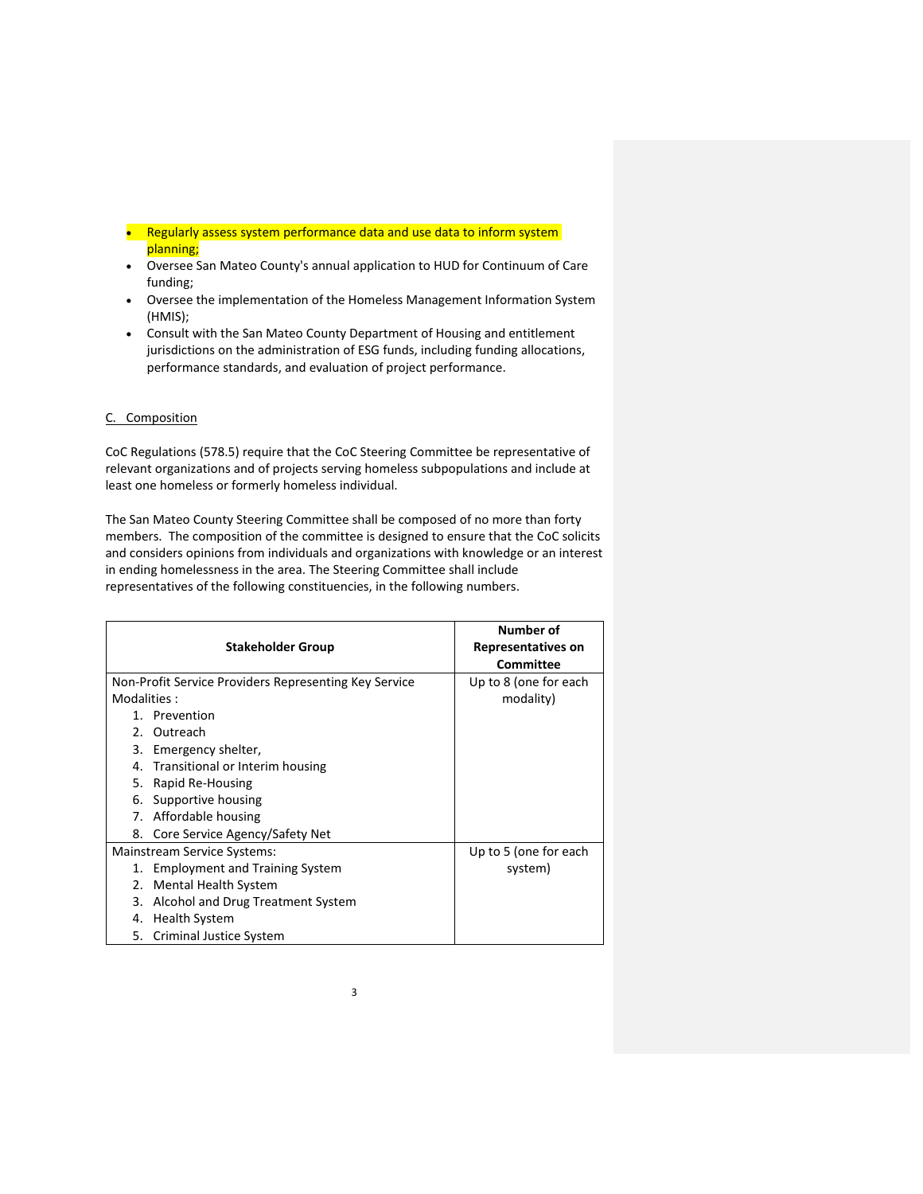- Regularly assess system performance data and use data to inform system planning;
- Oversee San Mateo County's annual application to HUD for Continuum of Care funding;
- Oversee the implementation of the Homeless Management Information System (HMIS);
- Consult with the San Mateo County Department of Housing and entitlement jurisdictions on the administration of ESG funds, including funding allocations, performance standards, and evaluation of project performance.

## C. Composition

CoC Regulations (578.5) require that the CoC Steering Committee be representative of relevant organizations and of projects serving homeless subpopulations and include at least one homeless or formerly homeless individual.

The San Mateo County Steering Committee shall be composed of no more than forty members. The composition of the committee is designed to ensure that the CoC solicits and considers opinions from individuals and organizations with knowledge or an interest in ending homelessness in the area. The Steering Committee shall include representatives of the following constituencies, in the following numbers.

|                                                       |                                       | Number of                 |
|-------------------------------------------------------|---------------------------------------|---------------------------|
| <b>Stakeholder Group</b>                              |                                       | <b>Representatives on</b> |
|                                                       |                                       | Committee                 |
| Non-Profit Service Providers Representing Key Service |                                       | Up to 8 (one for each     |
| Modalities:                                           |                                       | modality)                 |
|                                                       | 1. Prevention                         |                           |
|                                                       | 2. Outreach                           |                           |
|                                                       | 3. Emergency shelter,                 |                           |
|                                                       | 4. Transitional or Interim housing    |                           |
|                                                       | 5. Rapid Re-Housing                   |                           |
| 6.                                                    | Supportive housing                    |                           |
|                                                       | 7. Affordable housing                 |                           |
| 8.                                                    | Core Service Agency/Safety Net        |                           |
| Mainstream Service Systems:                           |                                       | Up to 5 (one for each     |
| 1.                                                    | <b>Employment and Training System</b> | system)                   |
| 2.                                                    | <b>Mental Health System</b>           |                           |
| 3.                                                    | Alcohol and Drug Treatment System     |                           |
|                                                       | 4. Health System                      |                           |
|                                                       | 5. Criminal Justice System            |                           |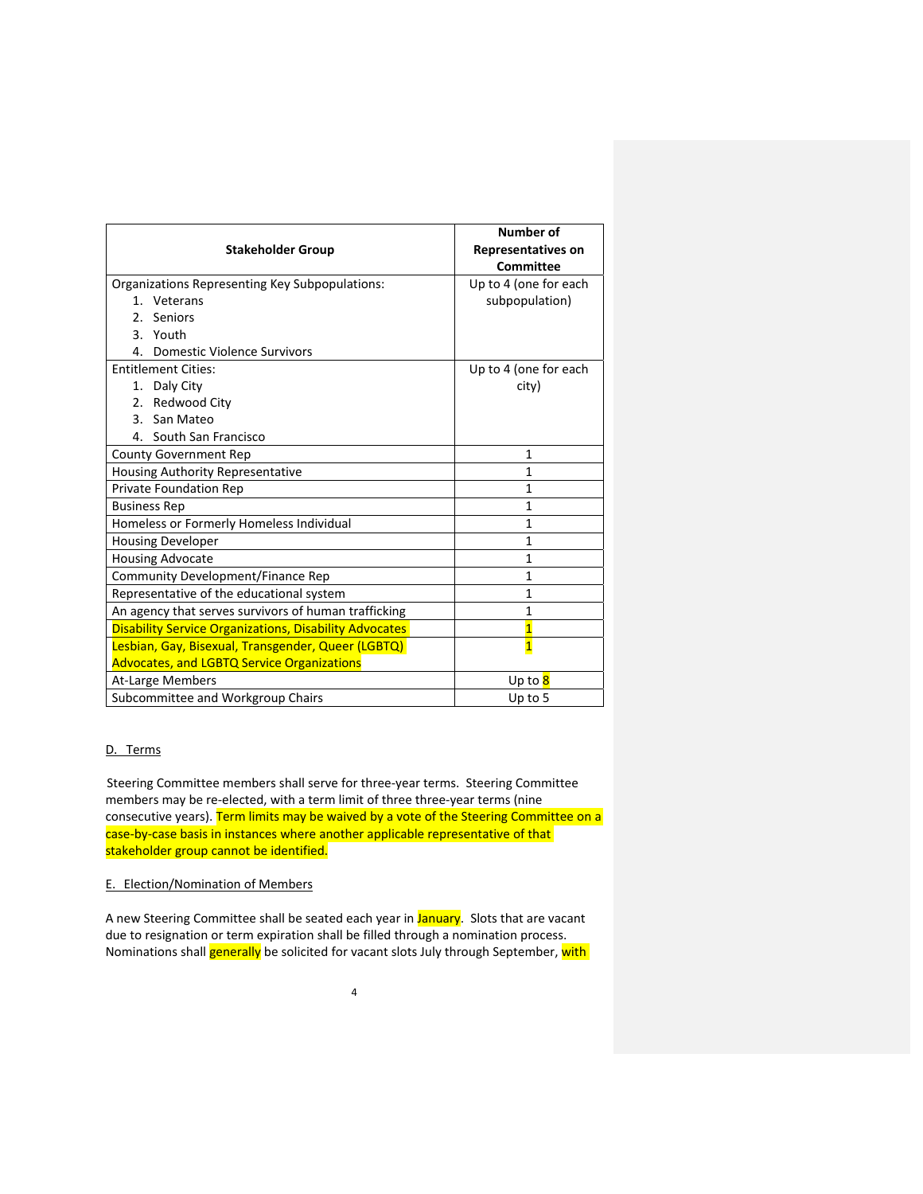| <b>Stakeholder Group</b>                                      | <b>Number of</b><br><b>Representatives on</b><br>Committee |
|---------------------------------------------------------------|------------------------------------------------------------|
| Organizations Representing Key Subpopulations:                | Up to 4 (one for each                                      |
| 1. Veterans                                                   | subpopulation)                                             |
| 2 <sub>1</sub><br>Seniors                                     |                                                            |
| 3. Youth                                                      |                                                            |
| 4. Domestic Violence Survivors                                |                                                            |
| <b>Entitlement Cities:</b>                                    | Up to 4 (one for each                                      |
| 1. Daly City                                                  | city)                                                      |
| 2. Redwood City                                               |                                                            |
| San Mateo<br>3.                                               |                                                            |
| 4. South San Francisco                                        |                                                            |
| <b>County Government Rep</b>                                  | $\mathbf{1}$                                               |
| <b>Housing Authority Representative</b>                       | $\mathbf{1}$                                               |
| <b>Private Foundation Rep</b>                                 | $\mathbf{1}$                                               |
| <b>Business Rep</b>                                           | $\mathbf{1}$                                               |
| Homeless or Formerly Homeless Individual                      | $\mathbf{1}$                                               |
| <b>Housing Developer</b>                                      | $\mathbf{1}$                                               |
| <b>Housing Advocate</b>                                       | $\mathbf{1}$                                               |
| Community Development/Finance Rep                             | $\mathbf{1}$                                               |
| Representative of the educational system                      | $\mathbf{1}$                                               |
| An agency that serves survivors of human trafficking          | $\mathbf{1}$                                               |
| <b>Disability Service Organizations, Disability Advocates</b> | $\overline{1}$                                             |
| Lesbian, Gay, Bisexual, Transgender, Queer (LGBTQ)            | $\overline{1}$                                             |
| <b>Advocates, and LGBTQ Service Organizations</b>             |                                                            |
| At-Large Members                                              | Up to 8                                                    |
| Subcommittee and Workgroup Chairs                             | Up to 5                                                    |

## D. Terms

Steering Committee members shall serve for three‐year terms. Steering Committee members may be re‐elected, with a term limit of three three‐year terms (nine consecutive years). Term limits may be waived by a vote of the Steering Committee on a case-by-case basis in instances where another applicable representative of that stakeholder group cannot be identified.

## E. Election/Nomination of Members

A new Steering Committee shall be seated each year in January. Slots that are vacant due to resignation or term expiration shall be filled through a nomination process. Nominations shall **generally** be solicited for vacant slots July through September, with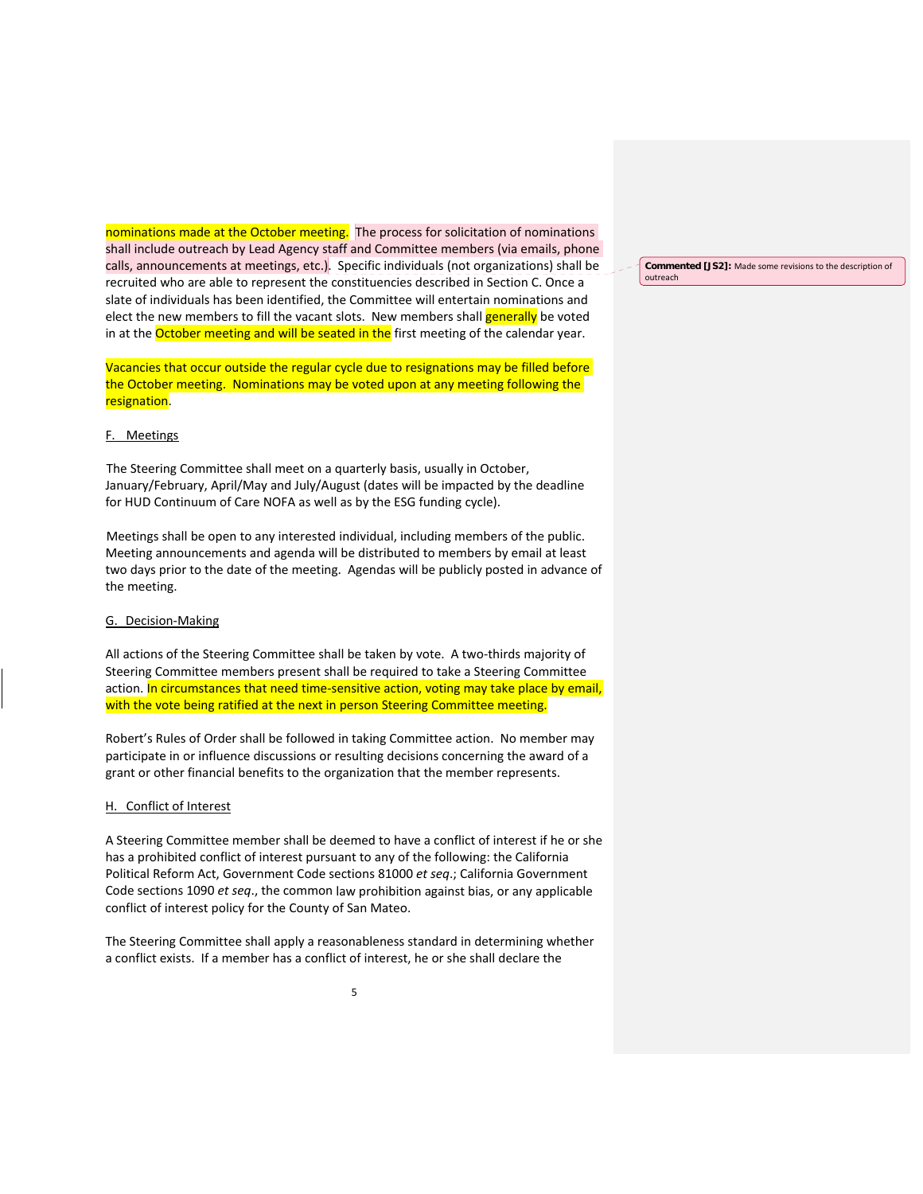nominations made at the October meeting. The process for solicitation of nominations shall include outreach by Lead Agency staff and Committee members (via emails, phone calls, announcements at meetings, etc.). Specific individuals (not organizations) shall be recruited who are able to represent the constituencies described in Section C. Once a slate of individuals has been identified, the Committee will entertain nominations and elect the new members to fill the vacant slots. New members shall generally be voted in at the **October meeting and will be seated in the** first meeting of the calendar year.

Vacancies that occur outside the regular cycle due to resignations may be filled before the October meeting. Nominations may be voted upon at any meeting following the resignation.

#### F. Meetings

The Steering Committee shall meet on a quarterly basis, usually in October, January/February, April/May and July/August (dates will be impacted by the deadline for HUD Continuum of Care NOFA as well as by the ESG funding cycle).

Meetings shall be open to any interested individual, including members of the public. Meeting announcements and agenda will be distributed to members by email at least two days prior to the date of the meeting. Agendas will be publicly posted in advance of the meeting.

### G. Decision‐Making

All actions of the Steering Committee shall be taken by vote. A two-thirds majority of Steering Committee members present shall be required to take a Steering Committee action. In circumstances that need time-sensitive action, voting may take place by email, with the vote being ratified at the next in person Steering Committee meeting.

Robert's Rules of Order shall be followed in taking Committee action. No member may participate in or influence discussions or resulting decisions concerning the award of a grant or other financial benefits to the organization that the member represents.

#### H. Conflict of Interest

A Steering Committee member shall be deemed to have a conflict of interest if he or she has a prohibited conflict of interest pursuant to any of the following: the California Political Reform Act, Government Code sections 81000 *et seq*.; California Government Code sections 1090 *et seq*., the common law prohibition against bias, or any applicable conflict of interest policy for the County of San Mateo.

The Steering Committee shall apply a reasonableness standard in determining whether a conflict exists. If a member has a conflict of interest, he or she shall declare the

**Commented [JS2]:** Made some revisions to the description of outreach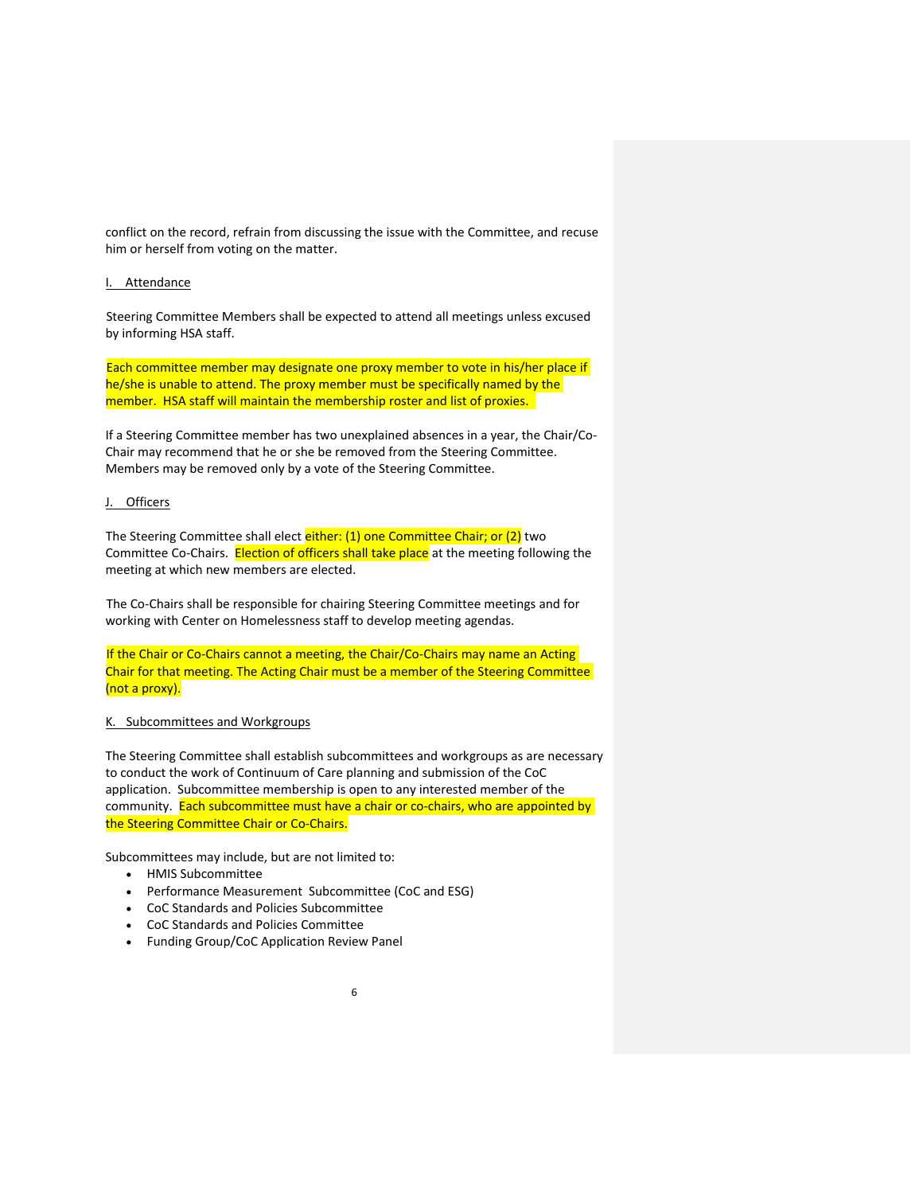conflict on the record, refrain from discussing the issue with the Committee, and recuse him or herself from voting on the matter.

#### I. Attendance

Steering Committee Members shall be expected to attend all meetings unless excused by informing HSA staff.

Each committee member may designate one proxy member to vote in his/her place if he/she is unable to attend. The proxy member must be specifically named by the member. HSA staff will maintain the membership roster and list of proxies.

If a Steering Committee member has two unexplained absences in a year, the Chair/Co‐ Chair may recommend that he or she be removed from the Steering Committee. Members may be removed only by a vote of the Steering Committee.

#### J. Officers

The Steering Committee shall elect either: (1) one Committee Chair; or (2) two Committee Co-Chairs. Election of officers shall take place at the meeting following the meeting at which new members are elected.

The Co-Chairs shall be responsible for chairing Steering Committee meetings and for working with Center on Homelessness staff to develop meeting agendas.

If the Chair or Co-Chairs cannot a meeting, the Chair/Co-Chairs may name an Acting Chair for that meeting. The Acting Chair must be a member of the Steering Committee (not a proxy).

# K. Subcommittees and Workgroups

The Steering Committee shall establish subcommittees and workgroups as are necessary to conduct the work of Continuum of Care planning and submission of the CoC application. Subcommittee membership is open to any interested member of the community. Each subcommittee must have a chair or co-chairs, who are appointed by the Steering Committee Chair or Co‐Chairs.

Subcommittees may include, but are not limited to:

- HMIS Subcommittee
- Performance Measurement Subcommittee (CoC and ESG)
- CoC Standards and Policies Subcommittee
- CoC Standards and Policies Committee
- Funding Group/CoC Application Review Panel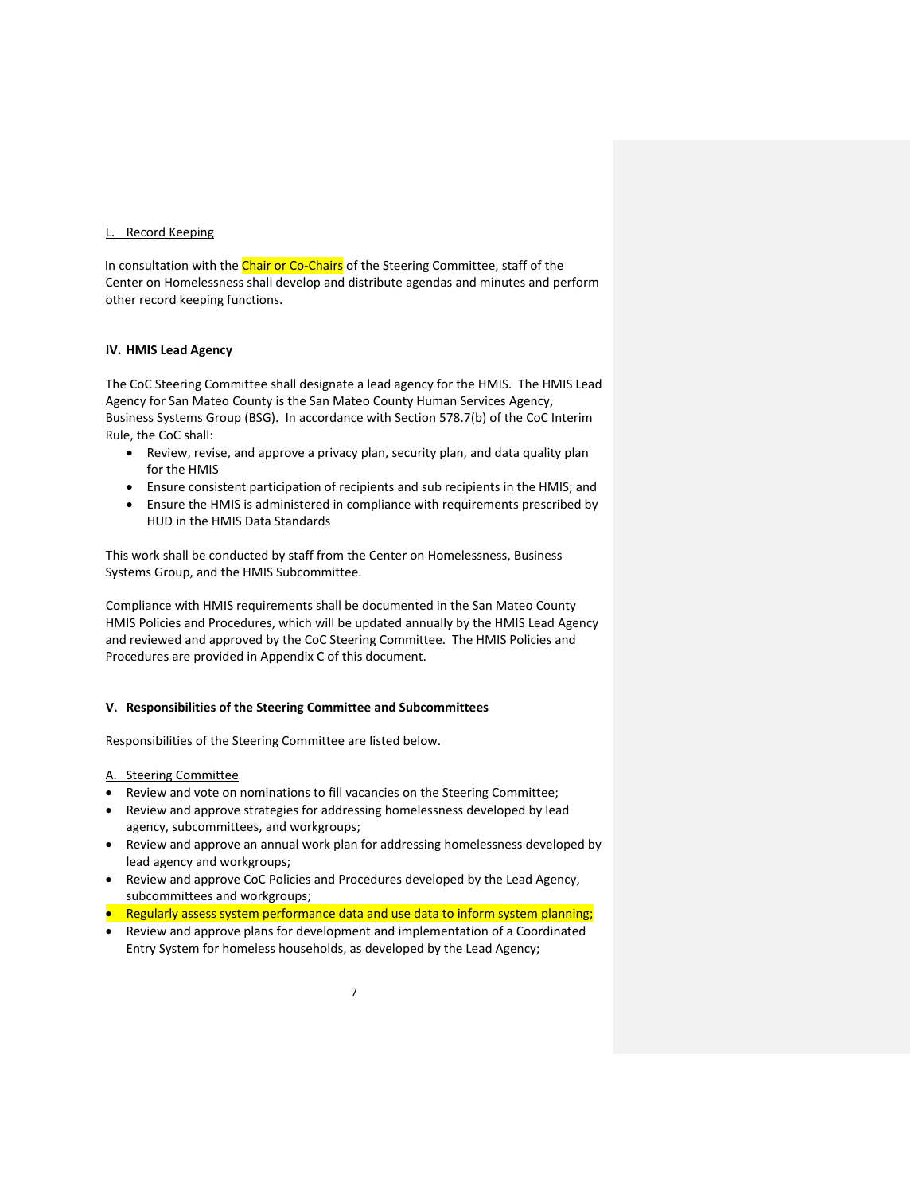## L. Record Keeping

In consultation with the Chair or Co-Chairs of the Steering Committee, staff of the Center on Homelessness shall develop and distribute agendas and minutes and perform other record keeping functions.

### **IV. HMIS Lead Agency**

The CoC Steering Committee shall designate a lead agency for the HMIS. The HMIS Lead Agency for San Mateo County is the San Mateo County Human Services Agency, Business Systems Group (BSG). In accordance with Section 578.7(b) of the CoC Interim Rule, the CoC shall:

- Review, revise, and approve a privacy plan, security plan, and data quality plan for the HMIS
- Ensure consistent participation of recipients and sub recipients in the HMIS; and
- Ensure the HMIS is administered in compliance with requirements prescribed by HUD in the HMIS Data Standards

This work shall be conducted by staff from the Center on Homelessness, Business Systems Group, and the HMIS Subcommittee.

Compliance with HMIS requirements shall be documented in the San Mateo County HMIS Policies and Procedures, which will be updated annually by the HMIS Lead Agency and reviewed and approved by the CoC Steering Committee. The HMIS Policies and Procedures are provided in Appendix C of this document.

#### **V. Responsibilities of the Steering Committee and Subcommittees**

Responsibilities of the Steering Committee are listed below.

#### A. Steering Committee

- Review and vote on nominations to fill vacancies on the Steering Committee;
- Review and approve strategies for addressing homelessness developed by lead agency, subcommittees, and workgroups;
- Review and approve an annual work plan for addressing homelessness developed by lead agency and workgroups;
- Review and approve CoC Policies and Procedures developed by the Lead Agency, subcommittees and workgroups;
- **•** Regularly assess system performance data and use data to inform system planning;
- Review and approve plans for development and implementation of a Coordinated Entry System for homeless households, as developed by the Lead Agency;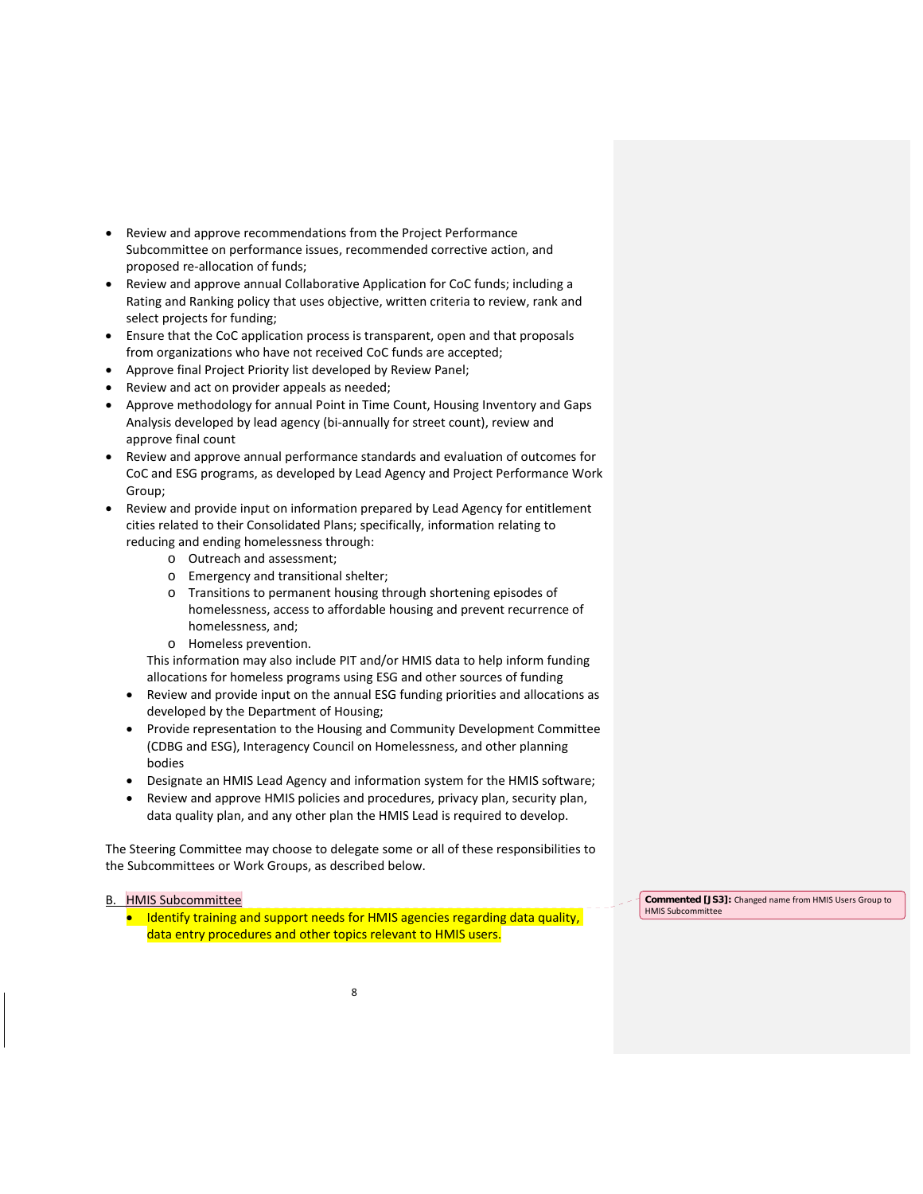- Review and approve recommendations from the Project Performance Subcommittee on performance issues, recommended corrective action, and proposed re‐allocation of funds;
- Review and approve annual Collaborative Application for CoC funds; including a Rating and Ranking policy that uses objective, written criteria to review, rank and select projects for funding;
- Ensure that the CoC application process is transparent, open and that proposals from organizations who have not received CoC funds are accepted;
- Approve final Project Priority list developed by Review Panel;
- Review and act on provider appeals as needed;
- Approve methodology for annual Point in Time Count, Housing Inventory and Gaps Analysis developed by lead agency (bi‐annually for street count), review and approve final count
- Review and approve annual performance standards and evaluation of outcomes for CoC and ESG programs, as developed by Lead Agency and Project Performance Work Group;
- Review and provide input on information prepared by Lead Agency for entitlement cities related to their Consolidated Plans; specifically, information relating to reducing and ending homelessness through:
	- o Outreach and assessment;
	- o Emergency and transitional shelter;
	- o Transitions to permanent housing through shortening episodes of homelessness, access to affordable housing and prevent recurrence of homelessness, and;
	- o Homeless prevention.

This information may also include PIT and/or HMIS data to help inform funding allocations for homeless programs using ESG and other sources of funding

- Review and provide input on the annual ESG funding priorities and allocations as developed by the Department of Housing;
- Provide representation to the Housing and Community Development Committee (CDBG and ESG), Interagency Council on Homelessness, and other planning bodies
- Designate an HMIS Lead Agency and information system for the HMIS software;
- Review and approve HMIS policies and procedures, privacy plan, security plan, data quality plan, and any other plan the HMIS Lead is required to develop.

The Steering Committee may choose to delegate some or all of these responsibilities to the Subcommittees or Work Groups, as described below.

## B. HMIS Subcommittee

• Identify training and support needs for HMIS agencies regarding data quality, data entry procedures and other topics relevant to HMIS users.

**Commented [JS3]:** Changed name from HMIS Users Group to HMIS Subcommittee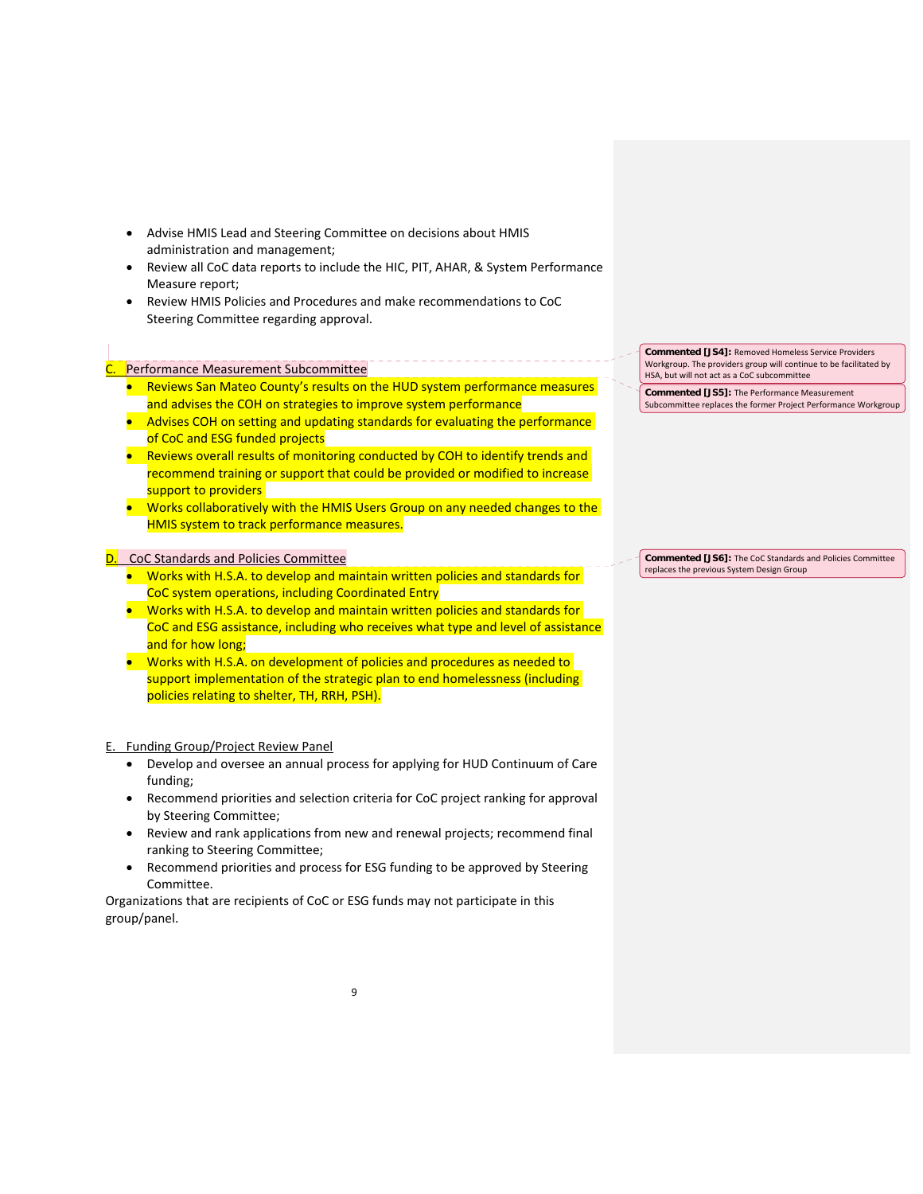- Advise HMIS Lead and Steering Committee on decisions about HMIS administration and management;
- Review all CoC data reports to include the HIC, PIT, AHAR, & System Performance Measure report;
- Review HMIS Policies and Procedures and make recommendations to CoC Steering Committee regarding approval.

## Performance Measurement Subcommittee

I

- Reviews San Mateo County's results on the HUD system performance measures and advises the COH on strategies to improve system performance
- Advises COH on setting and updating standards for evaluating the performance of CoC and ESG funded projects
- Reviews overall results of monitoring conducted by COH to identify trends and recommend training or support that could be provided or modified to increase support to providers
- **•** Works collaboratively with the HMIS Users Group on any needed changes to the HMIS system to track performance measures.

#### D. CoC Standards and Policies Committee

- **•** Works with H.S.A. to develop and maintain written policies and standards for CoC system operations, including Coordinated Entry
- **Works with H.S.A. to develop and maintain written policies and standards for** CoC and ESG assistance, including who receives what type and level of assistance and for how long;
- Works with H.S.A. on development of policies and procedures as needed to support implementation of the strategic plan to end homelessness (including policies relating to shelter, TH, RRH, PSH).

## E. Funding Group/Project Review Panel

- Develop and oversee an annual process for applying for HUD Continuum of Care funding;
- Recommend priorities and selection criteria for CoC project ranking for approval by Steering Committee;
- Review and rank applications from new and renewal projects; recommend final ranking to Steering Committee;
- Recommend priorities and process for ESG funding to be approved by Steering Committee.

Organizations that are recipients of CoC or ESG funds may not participate in this group/panel.

**Commented [JS4]:** Removed Homeless Service Providers Workgroup. The providers group will continue to be facilitated by HSA, but will not act as a CoC subcommittee

**Commented [JS5]:** The Performance Measurement Subcommittee replaces the former Project Performance Workgroup

**Commented [JS6]:** The CoC Standards and Policies Committee replaces the previous System Design Group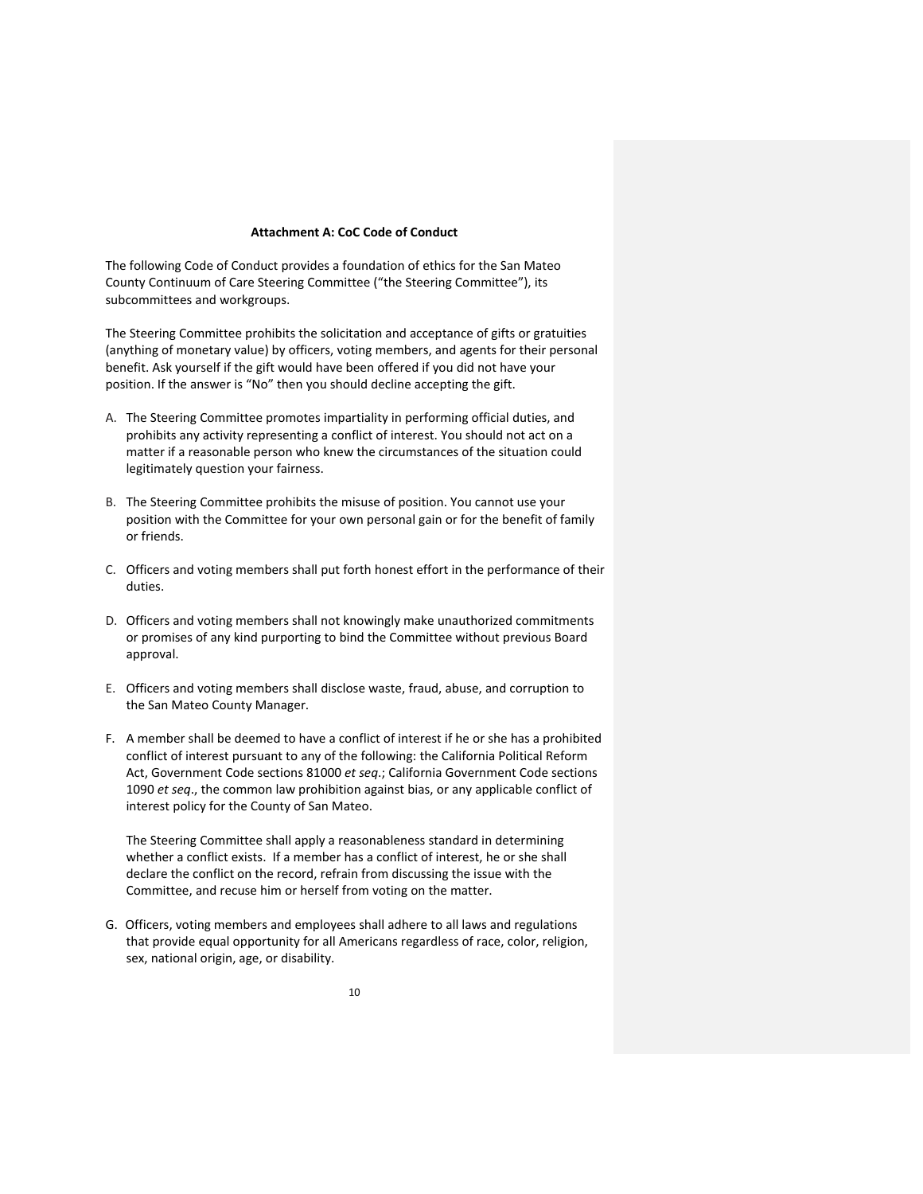#### **Attachment A: CoC Code of Conduct**

The following Code of Conduct provides a foundation of ethics for the San Mateo County Continuum of Care Steering Committee ("the Steering Committee"), its subcommittees and workgroups.

The Steering Committee prohibits the solicitation and acceptance of gifts or gratuities (anything of monetary value) by officers, voting members, and agents for their personal benefit. Ask yourself if the gift would have been offered if you did not have your position. If the answer is "No" then you should decline accepting the gift.

- A. The Steering Committee promotes impartiality in performing official duties, and prohibits any activity representing a conflict of interest. You should not act on a matter if a reasonable person who knew the circumstances of the situation could legitimately question your fairness.
- B. The Steering Committee prohibits the misuse of position. You cannot use your position with the Committee for your own personal gain or for the benefit of family or friends.
- C. Officers and voting members shall put forth honest effort in the performance of their duties.
- D. Officers and voting members shall not knowingly make unauthorized commitments or promises of any kind purporting to bind the Committee without previous Board approval.
- E. Officers and voting members shall disclose waste, fraud, abuse, and corruption to the San Mateo County Manager.
- F. A member shall be deemed to have a conflict of interest if he or she has a prohibited conflict of interest pursuant to any of the following: the California Political Reform Act, Government Code sections 81000 *et seq*.; California Government Code sections 1090 *et seq*., the common law prohibition against bias, or any applicable conflict of interest policy for the County of San Mateo.

The Steering Committee shall apply a reasonableness standard in determining whether a conflict exists. If a member has a conflict of interest, he or she shall declare the conflict on the record, refrain from discussing the issue with the Committee, and recuse him or herself from voting on the matter.

G. Officers, voting members and employees shall adhere to all laws and regulations that provide equal opportunity for all Americans regardless of race, color, religion, sex, national origin, age, or disability.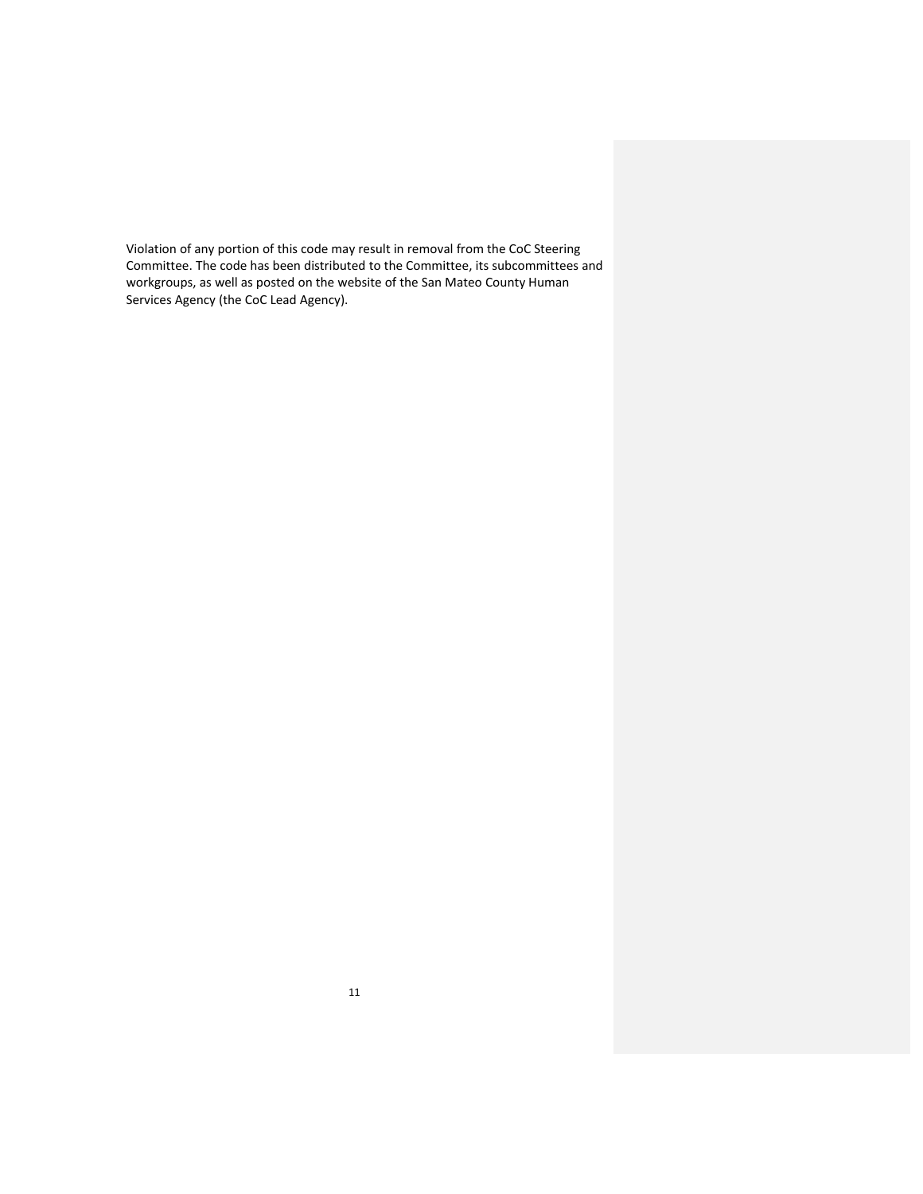Violation of any portion of this code may result in removal from the CoC Steering Committee. The code has been distributed to the Committee, its subcommittees and workgroups, as well as posted on the website of the San Mateo County Human Services Agency (the CoC Lead Agency).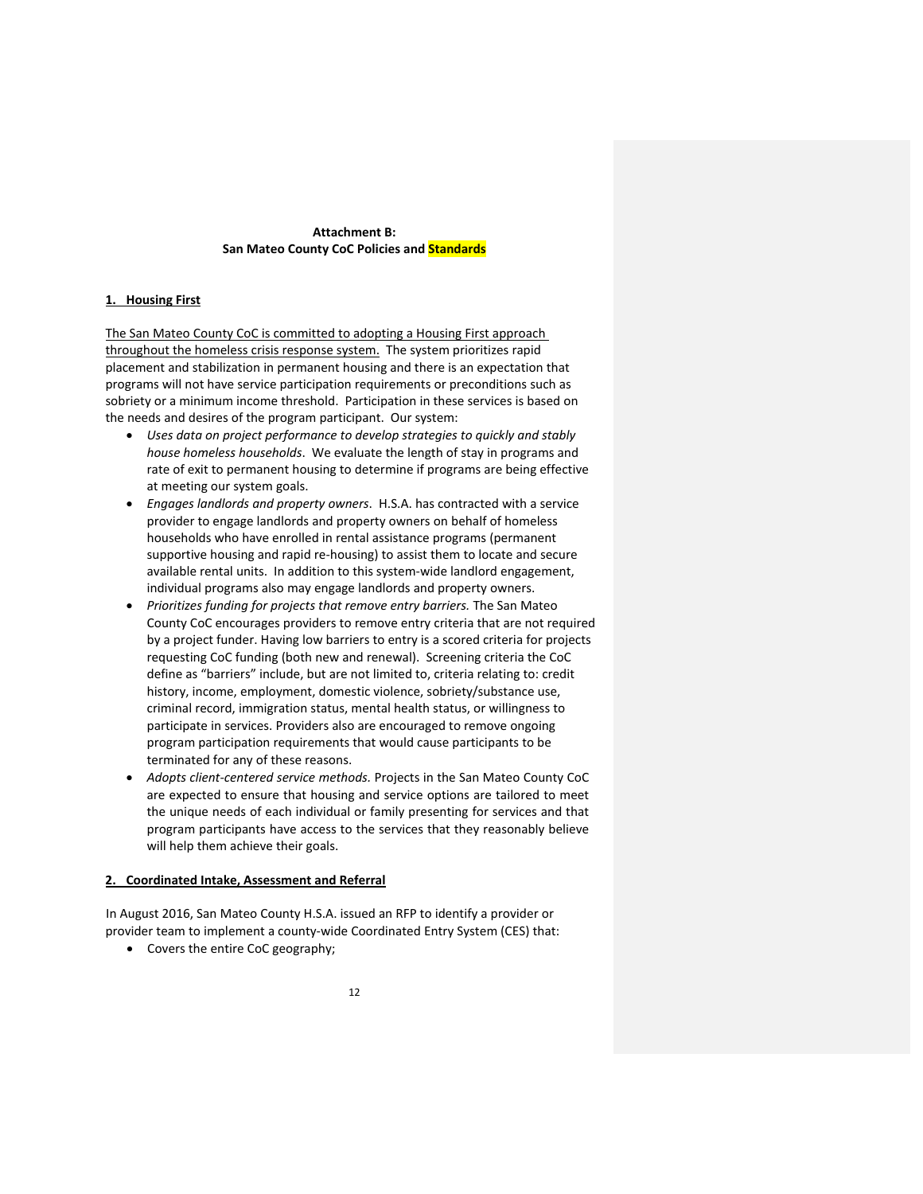## **Attachment B: San Mateo County CoC Policies and Standards**

## **1. Housing First**

The San Mateo County CoC is committed to adopting a Housing First approach throughout the homeless crisis response system. The system prioritizes rapid placement and stabilization in permanent housing and there is an expectation that programs will not have service participation requirements or preconditions such as sobriety or a minimum income threshold. Participation in these services is based on the needs and desires of the program participant. Our system:

- *Uses data on project performance to develop strategies to quickly and stably house homeless households*. We evaluate the length of stay in programs and rate of exit to permanent housing to determine if programs are being effective at meeting our system goals.
- *Engages landlords and property owners*. H.S.A. has contracted with a service provider to engage landlords and property owners on behalf of homeless households who have enrolled in rental assistance programs (permanent supportive housing and rapid re-housing) to assist them to locate and secure available rental units. In addition to this system-wide landlord engagement, individual programs also may engage landlords and property owners.
- *Prioritizes funding for projects that remove entry barriers.* The San Mateo County CoC encourages providers to remove entry criteria that are not required by a project funder. Having low barriers to entry is a scored criteria for projects requesting CoC funding (both new and renewal). Screening criteria the CoC define as "barriers" include, but are not limited to, criteria relating to: credit history, income, employment, domestic violence, sobriety/substance use, criminal record, immigration status, mental health status, or willingness to participate in services. Providers also are encouraged to remove ongoing program participation requirements that would cause participants to be terminated for any of these reasons.
- *Adopts client‐centered service methods.* Projects in the San Mateo County CoC are expected to ensure that housing and service options are tailored to meet the unique needs of each individual or family presenting for services and that program participants have access to the services that they reasonably believe will help them achieve their goals.

#### **2. Coordinated Intake, Assessment and Referral**

In August 2016, San Mateo County H.S.A. issued an RFP to identify a provider or provider team to implement a county‐wide Coordinated Entry System (CES) that:

Covers the entire CoC geography;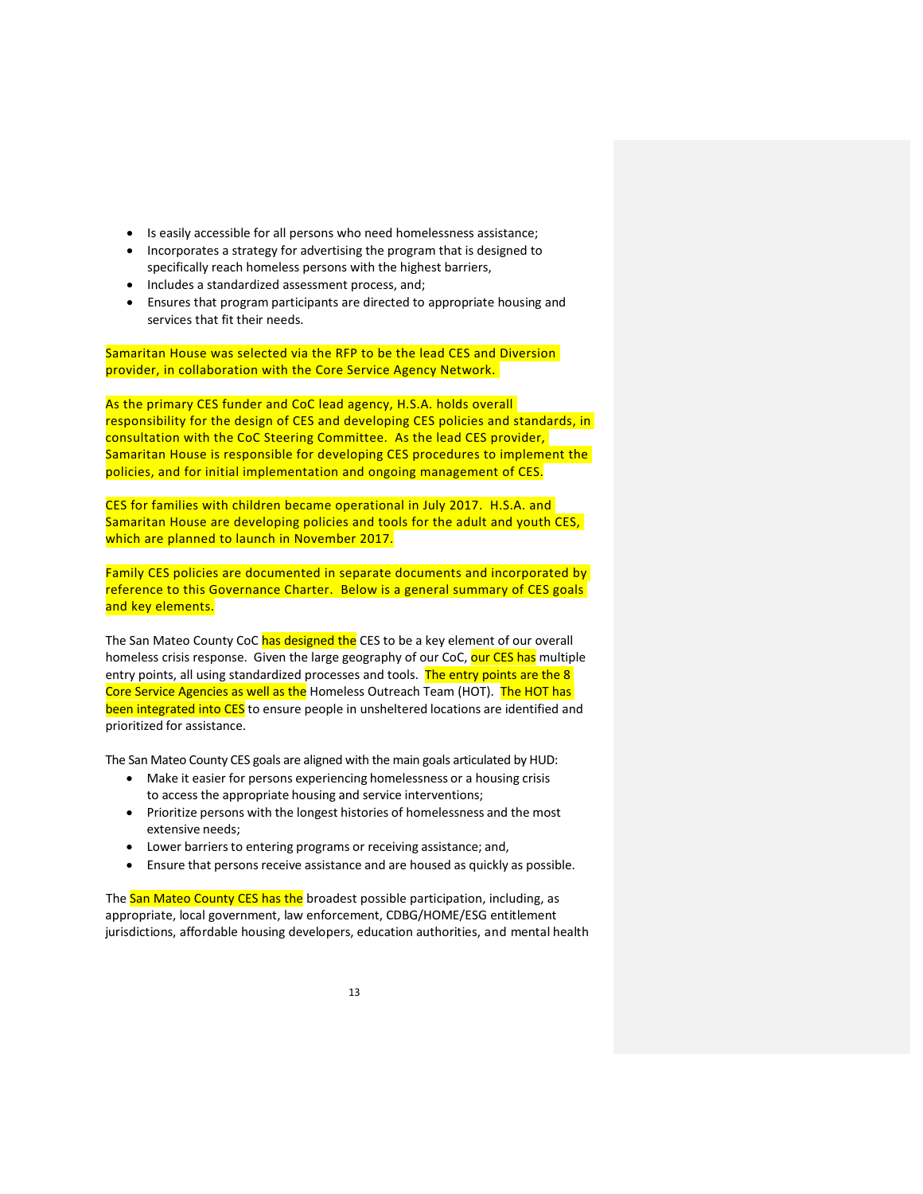- Is easily accessible for all persons who need homelessness assistance;
- Incorporates a strategy for advertising the program that is designed to specifically reach homeless persons with the highest barriers,
- Includes a standardized assessment process, and;
- Ensures that program participants are directed to appropriate housing and services that fit their needs.

Samaritan House was selected via the RFP to be the lead CES and Diversion provider, in collaboration with the Core Service Agency Network.

As the primary CES funder and CoC lead agency, H.S.A. holds overall responsibility for the design of CES and developing CES policies and standards, in consultation with the CoC Steering Committee. As the lead CES provider, Samaritan House is responsible for developing CES procedures to implement the policies, and for initial implementation and ongoing management of CES.

CES for families with children became operational in July 2017. H.S.A. and Samaritan House are developing policies and tools for the adult and youth CES, which are planned to launch in November 2017.

Family CES policies are documented in separate documents and incorporated by reference to this Governance Charter. Below is a general summary of CES goals and key elements.

The San Mateo County CoC has designed the CES to be a key element of our overall homeless crisis response. Given the large geography of our CoC, our CES has multiple entry points, all using standardized processes and tools. The entry points are the 8 Core Service Agencies as well as the Homeless Outreach Team (HOT). The HOT has been integrated into CES to ensure people in unsheltered locations are identified and prioritized for assistance.

The San Mateo County CES goals are aligned with the main goals articulated by HUD:

- Make it easier for persons experiencing homelessness or a housing crisis to access the appropriate housing and service interventions;
- Prioritize persons with the longest histories of homelessness and the most extensive needs;
- Lower barriers to entering programs or receiving assistance; and,
- Ensure that persons receive assistance and are housed as quickly as possible.

The San Mateo County CES has the broadest possible participation, including, as appropriate, local government, law enforcement, CDBG/HOME/ESG entitlement jurisdictions, affordable housing developers, education authorities, and mental health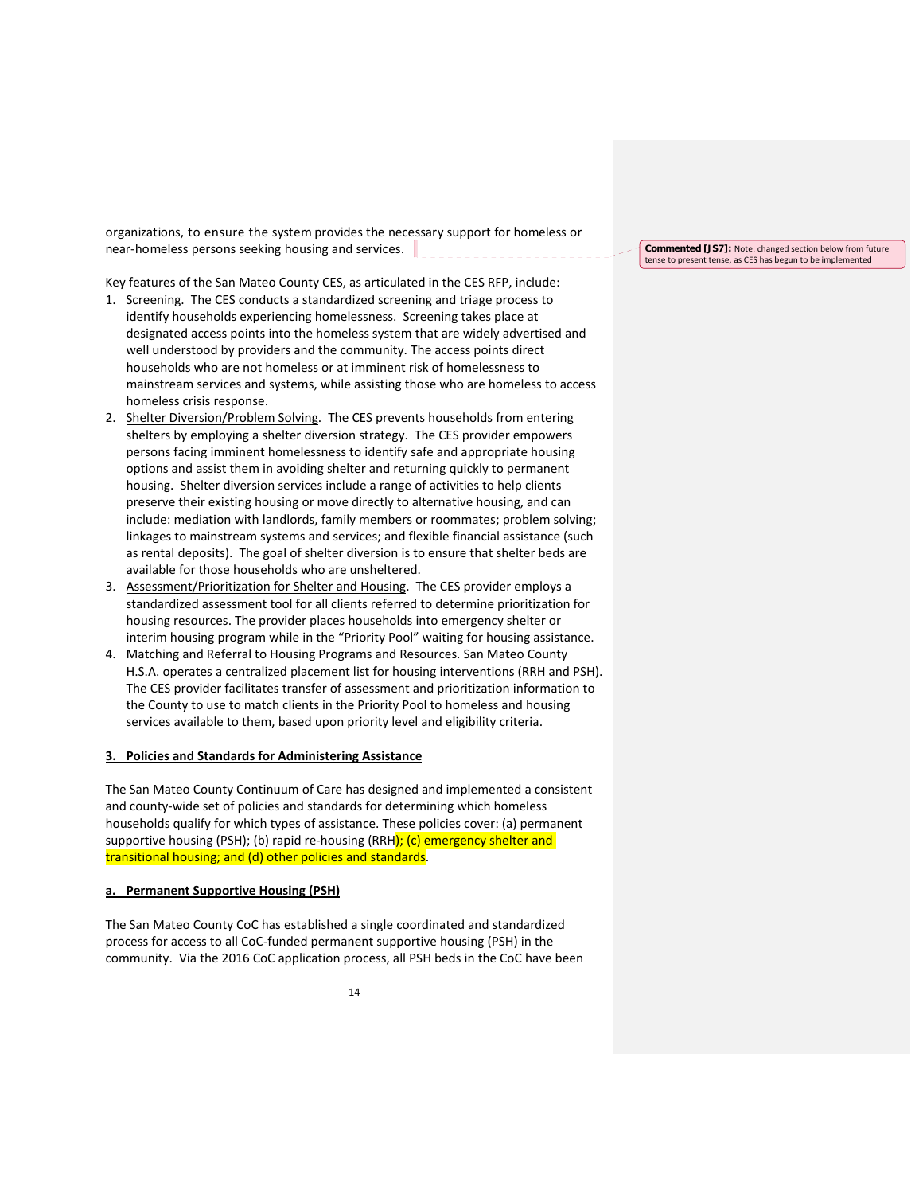organizations, to ensure the system provides the necessary support for homeless or near-homeless persons seeking housing and services.  $\|$  \_ \_ \_ \_ \_ \_ \_ \_ \_ \_ \_ \_ \_ \_ \_ \_

Key features of the San Mateo County CES, as articulated in the CES RFP, include:

- 1. Screening. The CES conducts a standardized screening and triage process to identify households experiencing homelessness. Screening takes place at designated access points into the homeless system that are widely advertised and well understood by providers and the community. The access points direct households who are not homeless or at imminent risk of homelessness to mainstream services and systems, while assisting those who are homeless to access homeless crisis response.
- 2. Shelter Diversion/Problem Solving. The CES prevents households from entering shelters by employing a shelter diversion strategy. The CES provider empowers persons facing imminent homelessness to identify safe and appropriate housing options and assist them in avoiding shelter and returning quickly to permanent housing. Shelter diversion services include a range of activities to help clients preserve their existing housing or move directly to alternative housing, and can include: mediation with landlords, family members or roommates; problem solving; linkages to mainstream systems and services; and flexible financial assistance (such as rental deposits). The goal of shelter diversion is to ensure that shelter beds are available for those households who are unsheltered.
- 3. Assessment/Prioritization for Shelter and Housing. The CES provider employs a standardized assessment tool for all clients referred to determine prioritization for housing resources. The provider places households into emergency shelter or interim housing program while in the "Priority Pool" waiting for housing assistance.
- 4. Matching and Referral to Housing Programs and Resources. San Mateo County H.S.A. operates a centralized placement list for housing interventions (RRH and PSH). The CES provider facilitates transfer of assessment and prioritization information to the County to use to match clients in the Priority Pool to homeless and housing services available to them, based upon priority level and eligibility criteria.

#### **3. Policies and Standards for Administering Assistance**

The San Mateo County Continuum of Care has designed and implemented a consistent and county‐wide set of policies and standards for determining which homeless households qualify for which types of assistance. These policies cover: (a) permanent supportive housing (PSH); (b) rapid re-housing (RRH); (c) emergency shelter and transitional housing; and (d) other policies and standards.

#### **a. Permanent Supportive Housing (PSH)**

The San Mateo County CoC has established a single coordinated and standardized process for access to all CoC‐funded permanent supportive housing (PSH) in the community. Via the 2016 CoC application process, all PSH beds in the CoC have been

**Commented [JS7]:** Note: changed section below from future tense to present tense, as CES has begun to be implemented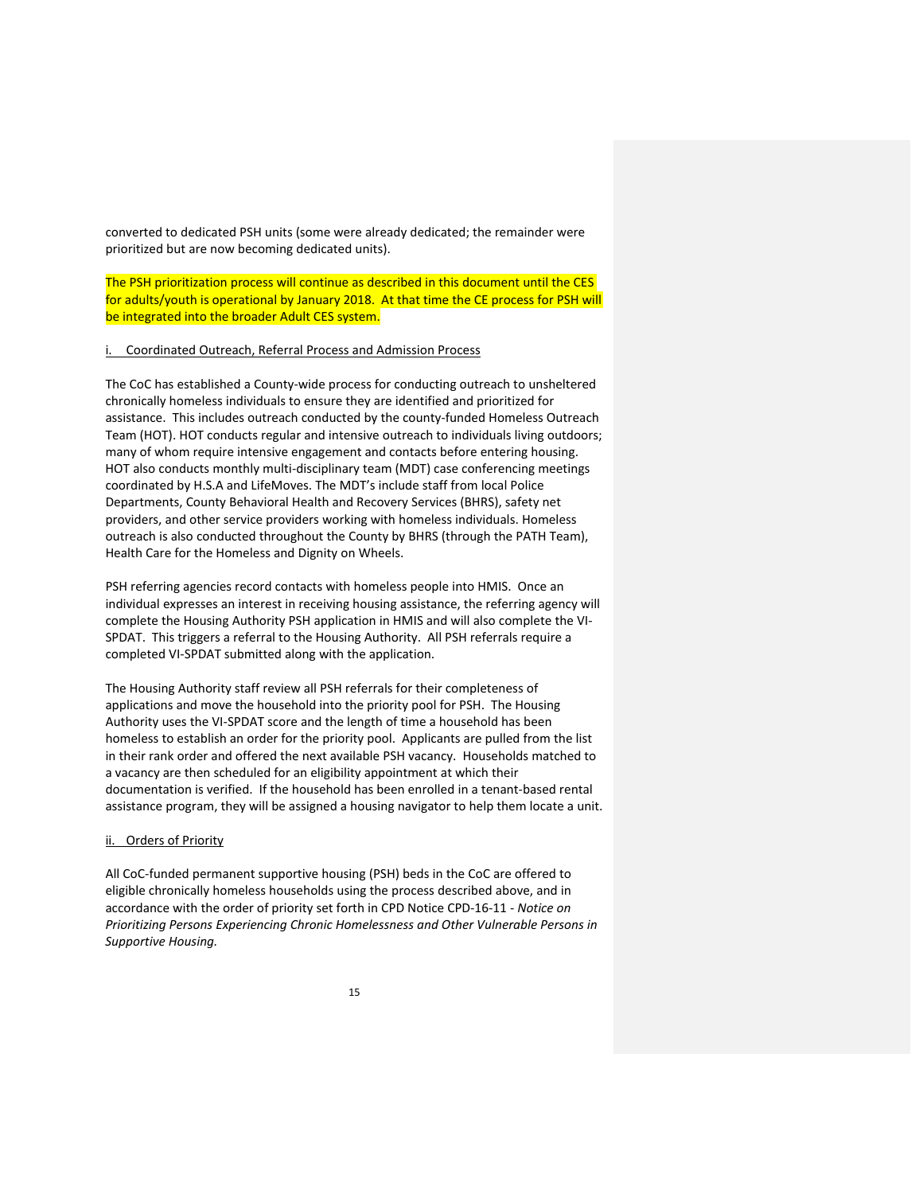converted to dedicated PSH units (some were already dedicated; the remainder were prioritized but are now becoming dedicated units).

The PSH prioritization process will continue as described in this document until the CES for adults/youth is operational by January 2018. At that time the CE process for PSH will be integrated into the broader Adult CES system.

#### i. Coordinated Outreach, Referral Process and Admission Process

The CoC has established a County‐wide process for conducting outreach to unsheltered chronically homeless individuals to ensure they are identified and prioritized for assistance. This includes outreach conducted by the county‐funded Homeless Outreach Team (HOT). HOT conducts regular and intensive outreach to individuals living outdoors; many of whom require intensive engagement and contacts before entering housing. HOT also conducts monthly multi‐disciplinary team (MDT) case conferencing meetings coordinated by H.S.A and LifeMoves. The MDT's include staff from local Police Departments, County Behavioral Health and Recovery Services (BHRS), safety net providers, and other service providers working with homeless individuals. Homeless outreach is also conducted throughout the County by BHRS (through the PATH Team), Health Care for the Homeless and Dignity on Wheels.

PSH referring agencies record contacts with homeless people into HMIS. Once an individual expresses an interest in receiving housing assistance, the referring agency will complete the Housing Authority PSH application in HMIS and will also complete the VI‐ SPDAT. This triggers a referral to the Housing Authority. All PSH referrals require a completed VI‐SPDAT submitted along with the application.

The Housing Authority staff review all PSH referrals for their completeness of applications and move the household into the priority pool for PSH. The Housing Authority uses the VI‐SPDAT score and the length of time a household has been homeless to establish an order for the priority pool. Applicants are pulled from the list in their rank order and offered the next available PSH vacancy. Households matched to a vacancy are then scheduled for an eligibility appointment at which their documentation is verified. If the household has been enrolled in a tenant‐based rental assistance program, they will be assigned a housing navigator to help them locate a unit.

## ii. Orders of Priority

All CoC-funded permanent supportive housing (PSH) beds in the CoC are offered to eligible chronically homeless households using the process described above, and in accordance with the order of priority set forth in CPD Notice CPD‐16‐11 ‐ *Notice on Prioritizing Persons Experiencing Chronic Homelessness and Other Vulnerable Persons in Supportive Housing.*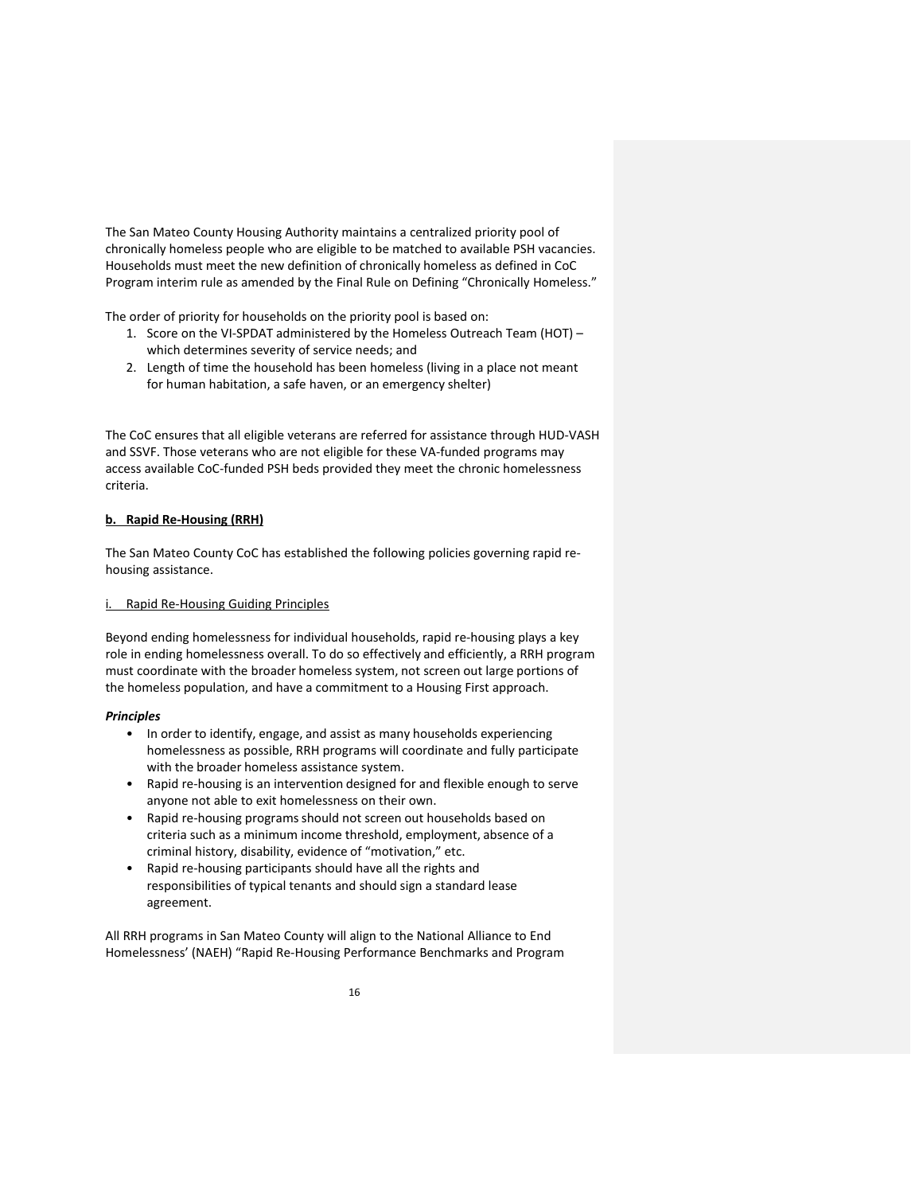The San Mateo County Housing Authority maintains a centralized priority pool of chronically homeless people who are eligible to be matched to available PSH vacancies. Households must meet the new definition of chronically homeless as defined in CoC Program interim rule as amended by the Final Rule on Defining "Chronically Homeless."

The order of priority for households on the priority pool is based on:

- 1. Score on the VI‐SPDAT administered by the Homeless Outreach Team (HOT) which determines severity of service needs; and
- 2. Length of time the household has been homeless (living in a place not meant for human habitation, a safe haven, or an emergency shelter)

The CoC ensures that all eligible veterans are referred for assistance through HUD‐VASH and SSVF. Those veterans who are not eligible for these VA-funded programs may access available CoC-funded PSH beds provided they meet the chronic homelessness criteria.

## **b. Rapid Re‐Housing (RRH)**

The San Mateo County CoC has established the following policies governing rapid re‐ housing assistance.

### i. Rapid Re‐Housing Guiding Principles

Beyond ending homelessness for individual households, rapid re‐housing plays a key role in ending homelessness overall. To do so effectively and efficiently, a RRH program must coordinate with the broader homeless system, not screen out large portions of the homeless population, and have a commitment to a Housing First approach.

#### *Principles*

- In order to identify, engage, and assist as many households experiencing homelessness as possible, RRH programs will coordinate and fully participate with the broader homeless assistance system.
- Rapid re-housing is an intervention designed for and flexible enough to serve anyone not able to exit homelessness on their own.
- Rapid re-housing programs should not screen out households based on criteria such as a minimum income threshold, employment, absence of a criminal history, disability, evidence of "motivation," etc.
- Rapid re‐housing participants should have all the rights and responsibilities of typical tenants and should sign a standard lease agreement.

All RRH programs in San Mateo County will align to the National Alliance to End Homelessness' (NAEH) "Rapid Re‐Housing Performance Benchmarks and Program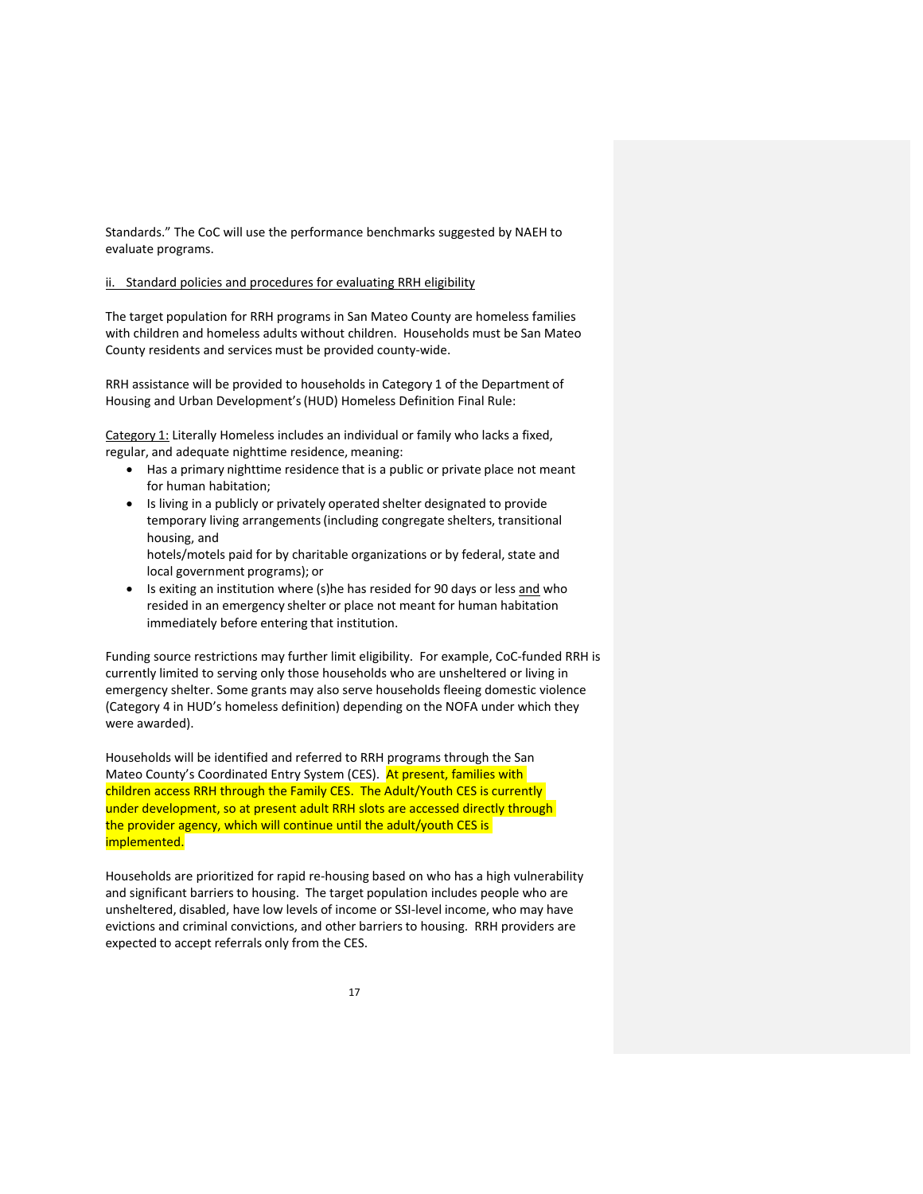Standards." The CoC will use the performance benchmarks suggested by NAEH to evaluate programs.

### ii. Standard policies and procedures for evaluating RRH eligibility

The target population for RRH programs in San Mateo County are homeless families with children and homeless adults without children. Households must be San Mateo County residents and services must be provided county‐wide.

RRH assistance will be provided to households in Category 1 of the Department of Housing and Urban Development's(HUD) Homeless Definition Final Rule:

Category 1: Literally Homeless includes an individual or family who lacks a fixed, regular, and adequate nighttime residence, meaning:

- Has a primary nighttime residence that is a public or private place not meant for human habitation;
- Is living in a publicly or privately operated shelter designated to provide temporary living arrangements(including congregate shelters, transitional housing, and

hotels/motels paid for by charitable organizations or by federal, state and local government programs); or

• Is exiting an institution where (s)he has resided for 90 days or less and who resided in an emergency shelter or place not meant for human habitation immediately before entering that institution.

Funding source restrictions may further limit eligibility. For example, CoC-funded RRH is currently limited to serving only those households who are unsheltered or living in emergency shelter. Some grants may also serve households fleeing domestic violence (Category 4 in HUD's homeless definition) depending on the NOFA under which they were awarded).

Households will be identified and referred to RRH programs through the San Mateo County's Coordinated Entry System (CES). At present, families with children access RRH through the Family CES. The Adult/Youth CES is currently under development, so at present adult RRH slots are accessed directly through the provider agency, which will continue until the adult/youth CES is implemented.

Households are prioritized for rapid re‐housing based on who has a high vulnerability and significant barriers to housing. The target population includes people who are unsheltered, disabled, have low levels of income or SSI‐level income, who may have evictions and criminal convictions, and other barriersto housing. RRH providers are expected to accept referrals only from the CES.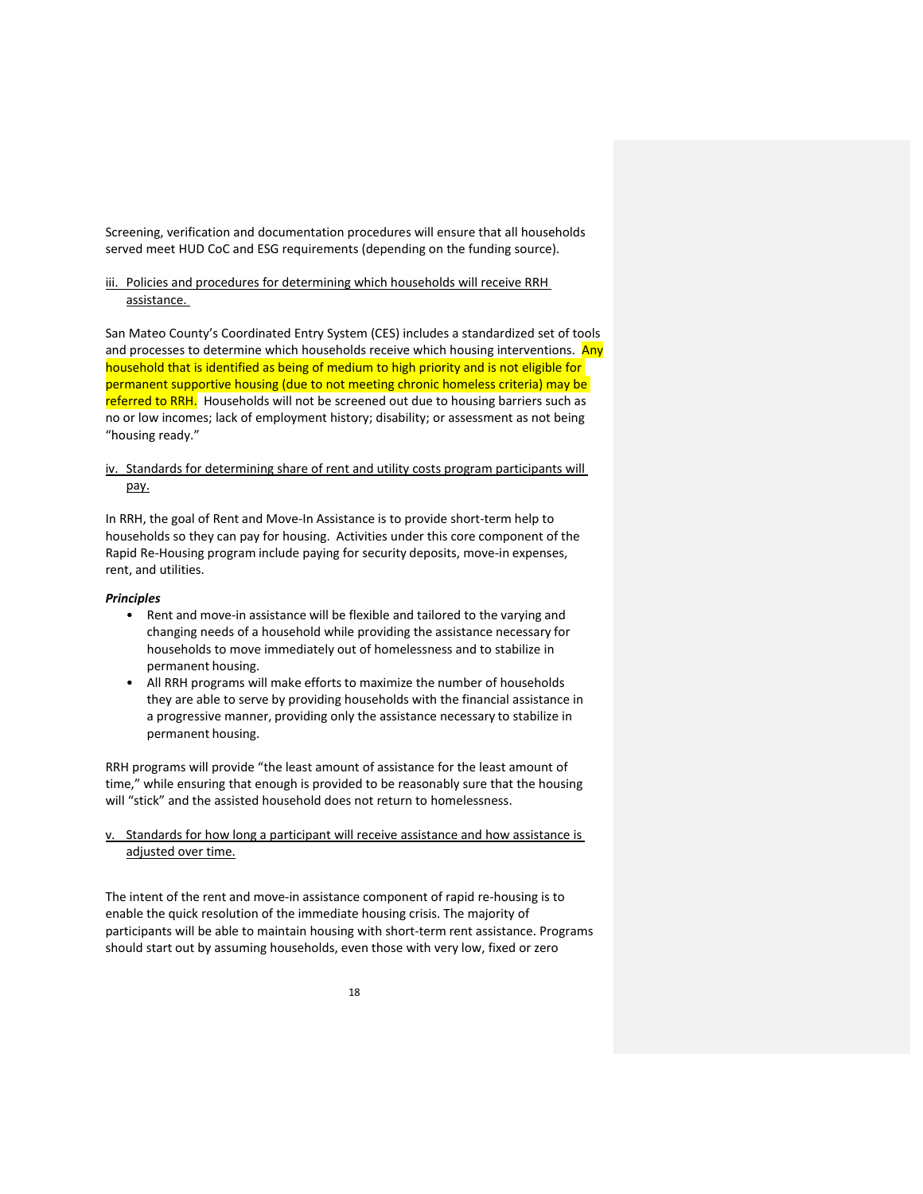Screening, verification and documentation procedures will ensure that all households served meet HUD CoC and ESG requirements (depending on the funding source).

## iii. Policies and procedures for determining which households will receive RRH assistance.

San Mateo County's Coordinated Entry System (CES) includes a standardized set of tools and processes to determine which households receive which housing interventions. Any household that is identified as being of medium to high priority and is not eligible for permanent supportive housing (due to not meeting chronic homeless criteria) may be referred to RRH. Households will not be screened out due to housing barriers such as no or low incomes; lack of employment history; disability; or assessment as not being "housing ready."

## iv. Standards for determining share of rent and utility costs program participants will pay.

In RRH, the goal of Rent and Move-In Assistance is to provide short-term help to households so they can pay for housing. Activities under this core component of the Rapid Re-Housing program include paying for security deposits, move-in expenses, rent, and utilities.

#### *Principles*

- Rent and move‐in assistance will be flexible and tailored to the varying and changing needs of a household while providing the assistance necessary for households to move immediately out of homelessness and to stabilize in permanent housing.
- All RRH programs will make efforts to maximize the number of households they are able to serve by providing households with the financial assistance in a progressive manner, providing only the assistance necessary to stabilize in permanent housing.

RRH programs will provide "the least amount of assistance for the least amount of time," while ensuring that enough is provided to be reasonably sure that the housing will "stick" and the assisted household does not return to homelessness.

## v. Standards for how long a participant will receive assistance and how assistance is adjusted over time.

The intent of the rent and move-in assistance component of rapid re-housing is to enable the quick resolution of the immediate housing crisis. The majority of participants will be able to maintain housing with short-term rent assistance. Programs should start out by assuming households, even those with very low, fixed or zero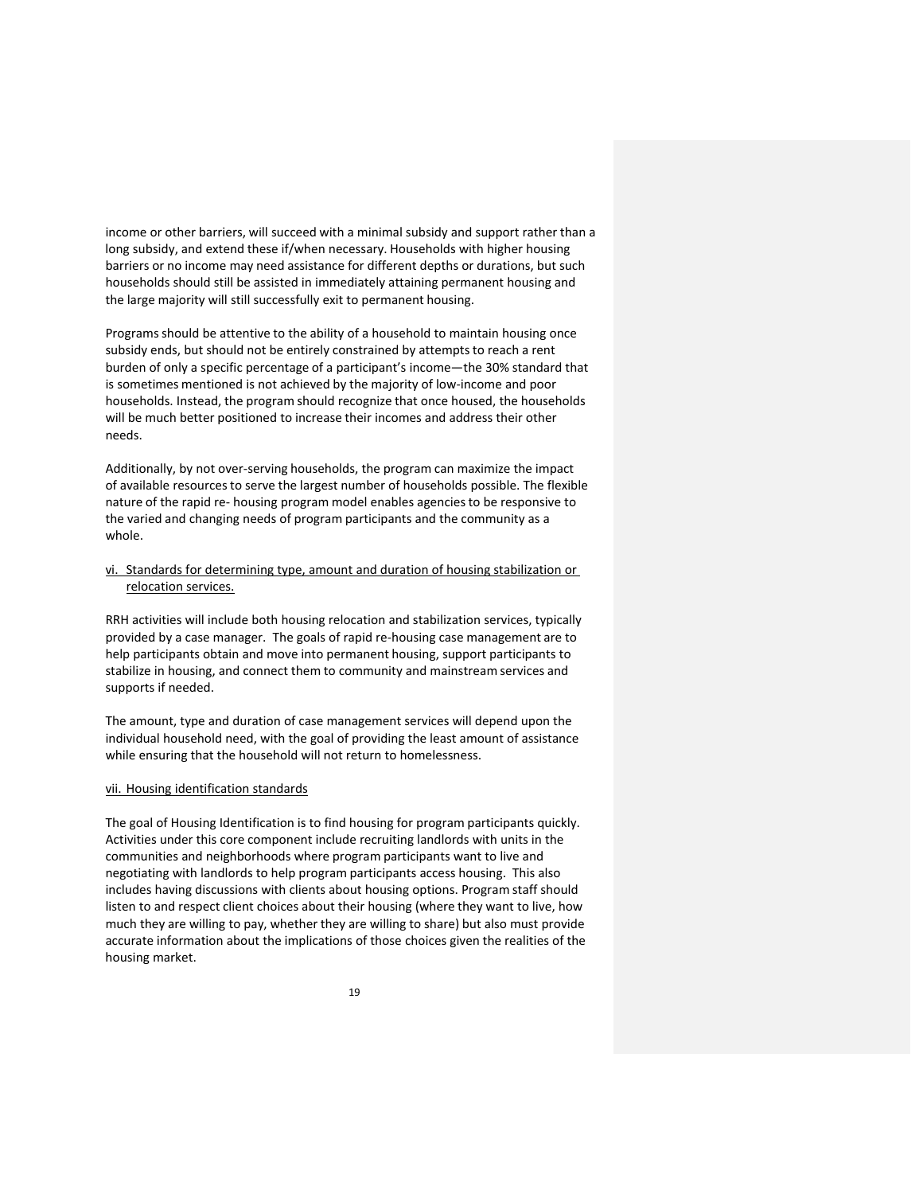income or other barriers, will succeed with a minimal subsidy and support rather than a long subsidy, and extend these if/when necessary. Households with higher housing barriers or no income may need assistance for different depths or durations, but such households should still be assisted in immediately attaining permanent housing and the large majority will still successfully exit to permanent housing.

Programsshould be attentive to the ability of a household to maintain housing once subsidy ends, but should not be entirely constrained by attempts to reach a rent burden of only a specific percentage of a participant's income—the 30% standard that is sometimes mentioned is not achieved by the majority of low‐income and poor households. Instead, the program should recognize that once housed, the households will be much better positioned to increase their incomes and address their other needs.

Additionally, by not over‐serving households, the program can maximize the impact of available resourcesto serve the largest number of households possible. The flexible nature of the rapid re‐ housing program model enables agenciesto be responsive to the varied and changing needs of program participants and the community as a whole.

## vi. Standards for determining type, amount and duration of housing stabilization or relocation services.

RRH activities will include both housing relocation and stabilization services, typically provided by a case manager. The goals of rapid re‐housing case management are to help participants obtain and move into permanent housing, support participants to stabilize in housing, and connect them to community and mainstream services and supports if needed.

The amount, type and duration of case management services will depend upon the individual household need, with the goal of providing the least amount of assistance while ensuring that the household will not return to homelessness.

#### vii. Housing identification standards

The goal of Housing Identification is to find housing for program participants quickly. Activities under this core component include recruiting landlords with units in the communities and neighborhoods where program participants want to live and negotiating with landlords to help program participants access housing. This also includes having discussions with clients about housing options. Program staff should listen to and respect client choices about their housing (where they want to live, how much they are willing to pay, whether they are willing to share) but also must provide accurate information about the implications of those choices given the realities of the housing market.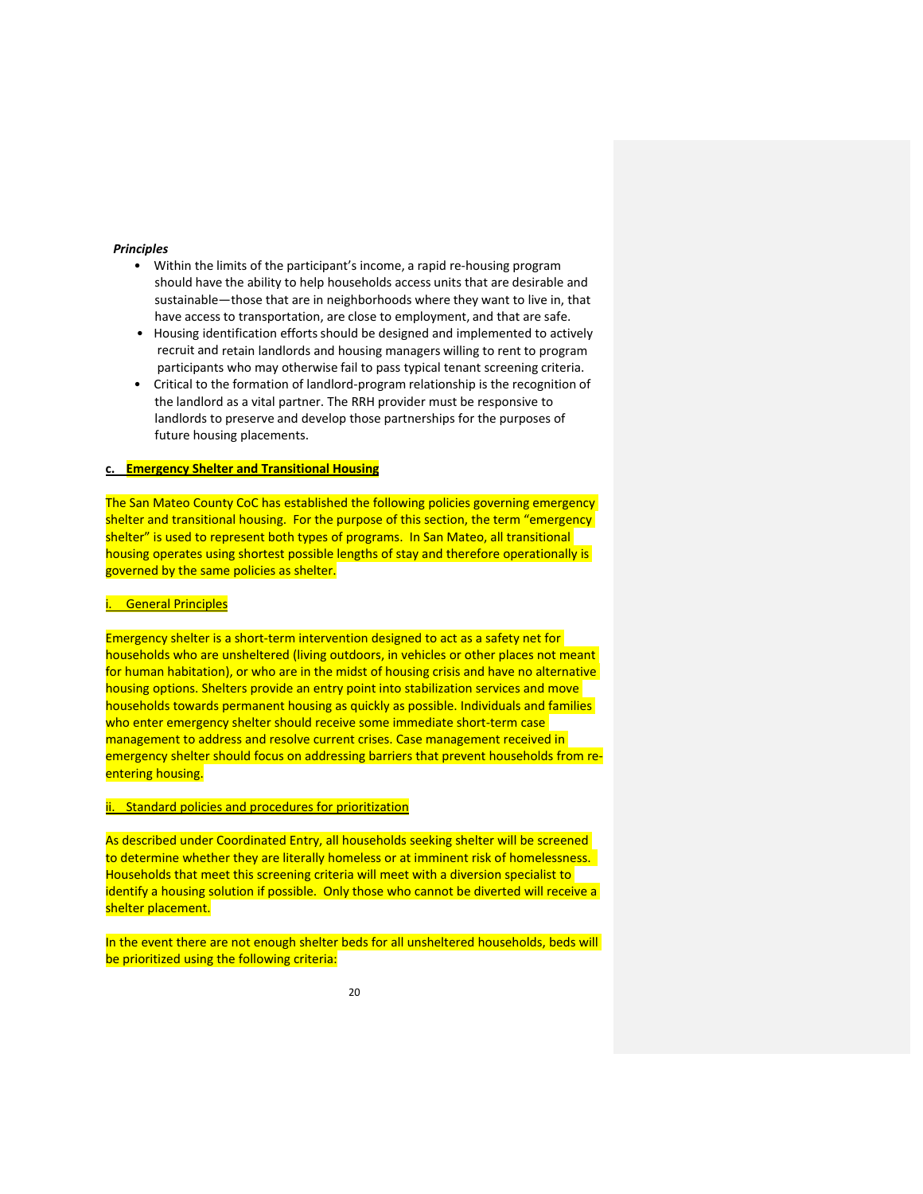#### *Principles*

- Within the limits of the participant's income, a rapid re‐housing program should have the ability to help households access units that are desirable and sustainable—those that are in neighborhoods where they want to live in, that have access to transportation, are close to employment, and that are safe.
- Housing identification efforts should be designed and implemented to actively recruit and retain landlords and housing managers willing to rent to program participants who may otherwise fail to pass typical tenant screening criteria.
- Critical to the formation of landlord-program relationship is the recognition of the landlord as a vital partner. The RRH provider must be responsive to landlords to preserve and develop those partnerships for the purposes of future housing placements.

## **c. Emergency Shelter and Transitional Housing**

The San Mateo County CoC has established the following policies governing emergency shelter and transitional housing. For the purpose of this section, the term "emergency shelter" is used to represent both types of programs. In San Mateo, all transitional housing operates using shortest possible lengths of stay and therefore operationally is governed by the same policies as shelter.

## **General Principles**

Emergency shelter is a short-term intervention designed to act as a safety net for households who are unsheltered (living outdoors, in vehicles or other places not meant for human habitation), or who are in the midst of housing crisis and have no alternative housing options. Shelters provide an entry point into stabilization services and move households towards permanent housing as quickly as possible. Individuals and families who enter emergency shelter should receive some immediate short-term case management to address and resolve current crises. Case management received in emergency shelter should focus on addressing barriers that prevent households from re‐ entering housing.

#### ii. Standard policies and procedures for prioritization

As described under Coordinated Entry, all households seeking shelter will be screened to determine whether they are literally homeless or at imminent risk of homelessness. Households that meet this screening criteria will meet with a diversion specialist to identify a housing solution if possible. Only those who cannot be diverted will receive a shelter placement.

In the event there are not enough shelter beds for all unsheltered households, beds will be prioritized using the following criteria: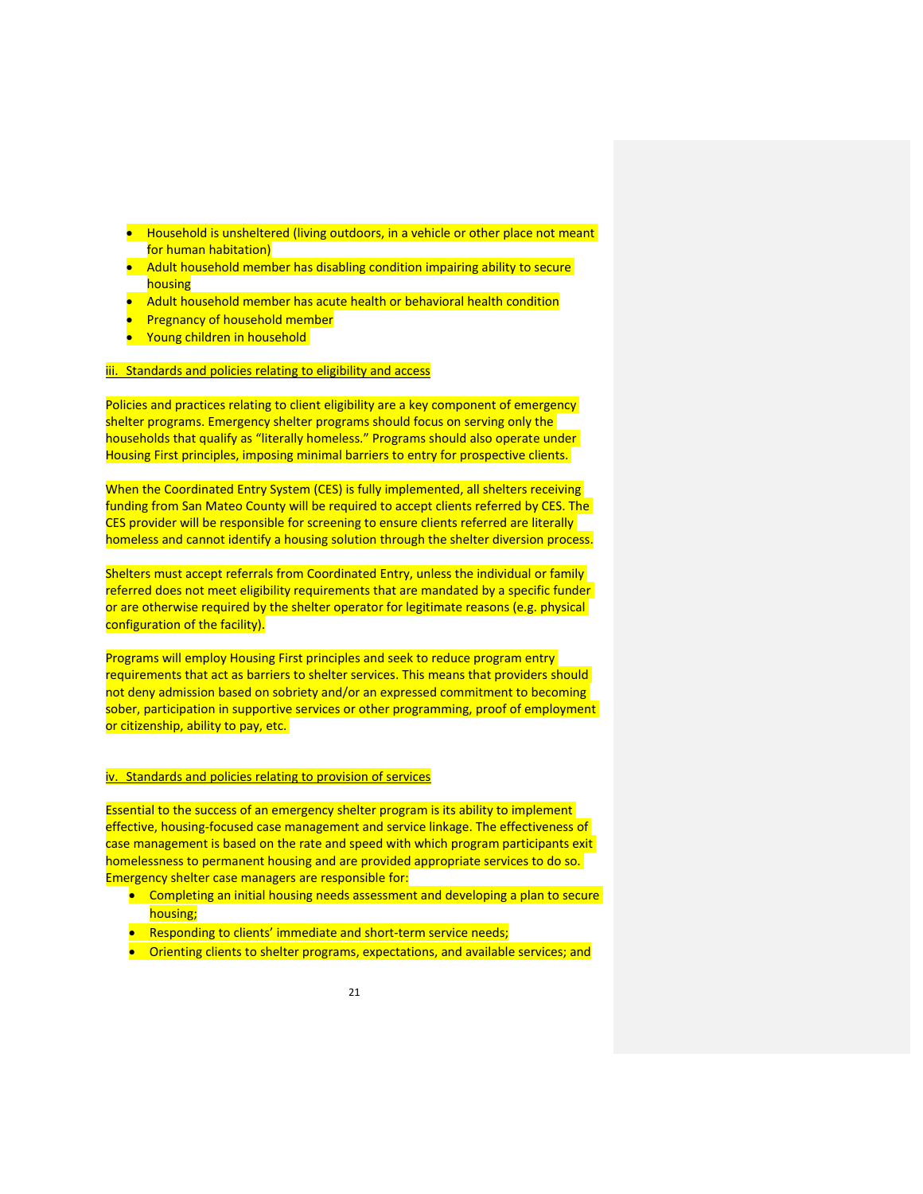- Household is unsheltered (living outdoors, in a vehicle or other place not meant for human habitation)
- Adult household member has disabling condition impairing ability to secure housing
- Adult household member has acute health or behavioral health condition
- Pregnancy of household member
- **Young children in household**

## iii. Standards and policies relating to eligibility and access

Policies and practices relating to client eligibility are a key component of emergency shelter programs. Emergency shelter programs should focus on serving only the households that qualify as "literally homeless." Programs should also operate under Housing First principles, imposing minimal barriers to entry for prospective clients.

When the Coordinated Entry System (CES) is fully implemented, all shelters receiving funding from San Mateo County will be required to accept clients referred by CES. The CES provider will be responsible for screening to ensure clients referred are literally homeless and cannot identify a housing solution through the shelter diversion process.

Shelters must accept referrals from Coordinated Entry, unless the individual or family referred does not meet eligibility requirements that are mandated by a specific funder or are otherwise required by the shelter operator for legitimate reasons (e.g. physical configuration of the facility).

Programs will employ Housing First principles and seek to reduce program entry requirements that act as barriers to shelter services. This means that providers should not deny admission based on sobriety and/or an expressed commitment to becoming sober, participation in supportive services or other programming, proof of employment or citizenship, ability to pay, etc.

## iv. Standards and policies relating to provision of services

Essential to the success of an emergency shelter program is its ability to implement effective, housing‐focused case management and service linkage. The effectiveness of case management is based on the rate and speed with which program participants exit homelessness to permanent housing and are provided appropriate services to do so. Emergency shelter case managers are responsible for:

- Completing an initial housing needs assessment and developing a plan to secure housing;
- Responding to clients' immediate and short-term service needs;
- **•** Orienting clients to shelter programs, expectations, and available services; and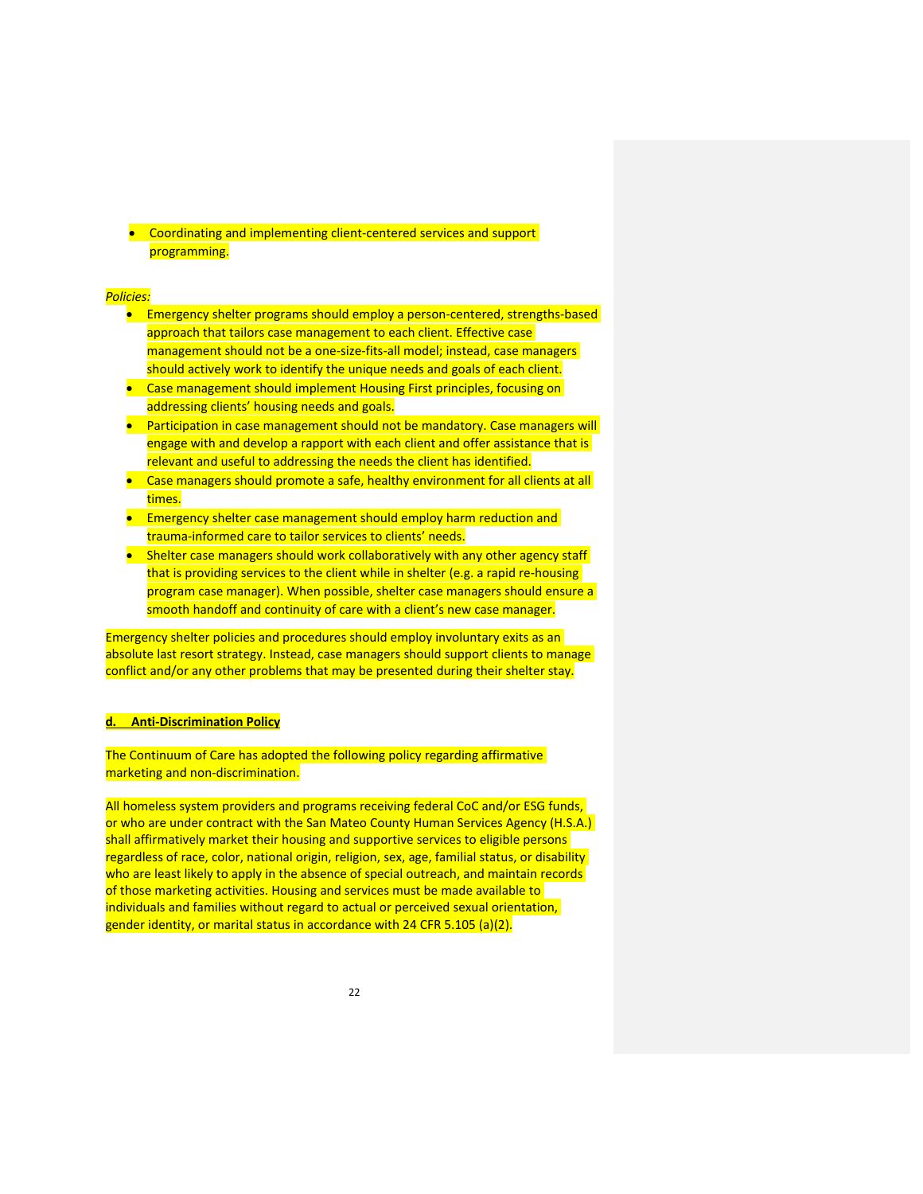● Coordinating and implementing client-centered services and support programming.

#### *Policies:*

- Emergency shelter programs should employ a person-centered, strengths-based approach that tailors case management to each client. Effective case management should not be a one-size-fits-all model; instead, case managers should actively work to identify the unique needs and goals of each client.
- Case management should implement Housing First principles, focusing on addressing clients' housing needs and goals.
- Participation in case management should not be mandatory. Case managers will engage with and develop a rapport with each client and offer assistance that is relevant and useful to addressing the needs the client has identified.
- Case managers should promote a safe, healthy environment for all clients at all times.
- **Emergency shelter case management should employ harm reduction and** trauma‐informed care to tailor services to clients' needs.
- Shelter case managers should work collaboratively with any other agency staff that is providing services to the client while in shelter (e.g. a rapid re-housing program case manager). When possible, shelter case managers should ensure a smooth handoff and continuity of care with a client's new case manager.

Emergency shelter policies and procedures should employ involuntary exits as an absolute last resort strategy. Instead, case managers should support clients to manage conflict and/or any other problems that may be presented during their shelter stay.

## **d. Anti‐Discrimination Policy**

The Continuum of Care has adopted the following policy regarding affirmative marketing and non-discrimination.

All homeless system providers and programs receiving federal CoC and/or ESG funds, or who are under contract with the San Mateo County Human Services Agency (H.S.A.) shall affirmatively market their housing and supportive services to eligible persons regardless of race, color, national origin, religion, sex, age, familial status, or disability who are least likely to apply in the absence of special outreach, and maintain records of those marketing activities. Housing and services must be made available to individuals and families without regard to actual or perceived sexual orientation, gender identity, or marital status in accordance with 24 CFR 5.105 (a)(2).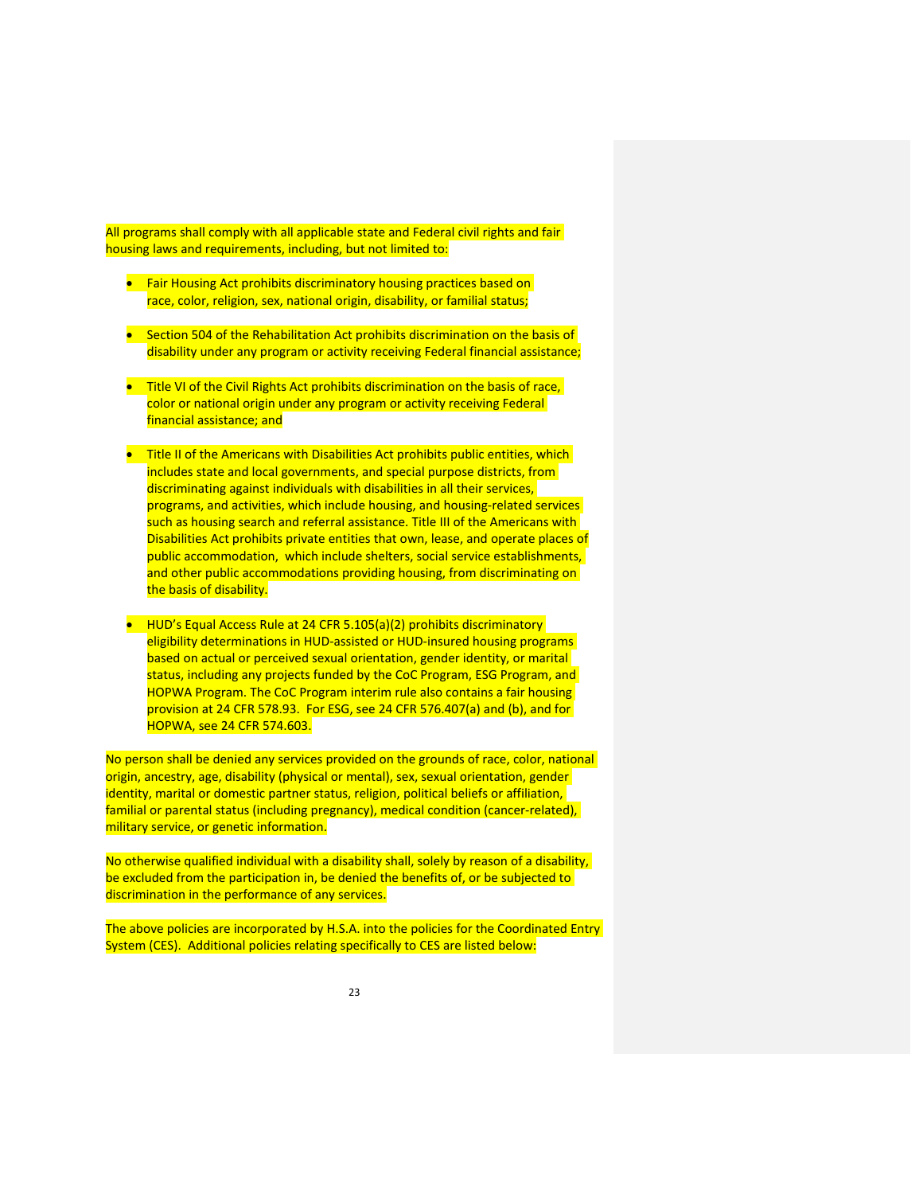All programs shall comply with all applicable state and Federal civil rights and fair housing laws and requirements, including, but not limited to:

- Fair Housing Act prohibits discriminatory housing practices based on race, color, religion, sex, national origin, disability, or familial status;
- Section 504 of the Rehabilitation Act prohibits discrimination on the basis of disability under any program or activity receiving Federal financial assistance;
- Title VI of the Civil Rights Act prohibits discrimination on the basis of race, color or national origin under any program or activity receiving Federal financial assistance; and
- Title II of the Americans with Disabilities Act prohibits public entities, which includes state and local governments, and special purpose districts, from discriminating against individuals with disabilities in all their services, programs, and activities, which include housing, and housing‐related services such as housing search and referral assistance. Title III of the Americans with Disabilities Act prohibits private entities that own, lease, and operate places of public accommodation, which include shelters, social service establishments, and other public accommodations providing housing, from discriminating on the basis of disability.
- HUD's Equal Access Rule at 24 CFR 5.105(a)(2) prohibits discriminatory eligibility determinations in HUD-assisted or HUD-insured housing programs based on actual or perceived sexual orientation, gender identity, or marital status, including any projects funded by the CoC Program, ESG Program, and HOPWA Program. The CoC Program interim rule also contains a fair housing provision at 24 CFR 578.93. For ESG, see 24 CFR 576.407(a) and (b), and for HOPWA, see 24 CFR 574.603.

No person shall be denied any services provided on the grounds of race, color, national origin, ancestry, age, disability (physical or mental), sex, sexual orientation, gender identity, marital or domestic partner status, religion, political beliefs or affiliation, familial or parental status (including pregnancy), medical condition (cancer‐related), military service, or genetic information.

No otherwise qualified individual with a disability shall, solely by reason of a disability, be excluded from the participation in, be denied the benefits of, or be subjected to discrimination in the performance of any services.

The above policies are incorporated by H.S.A. into the policies for the Coordinated Entry System (CES). Additional policies relating specifically to CES are listed below: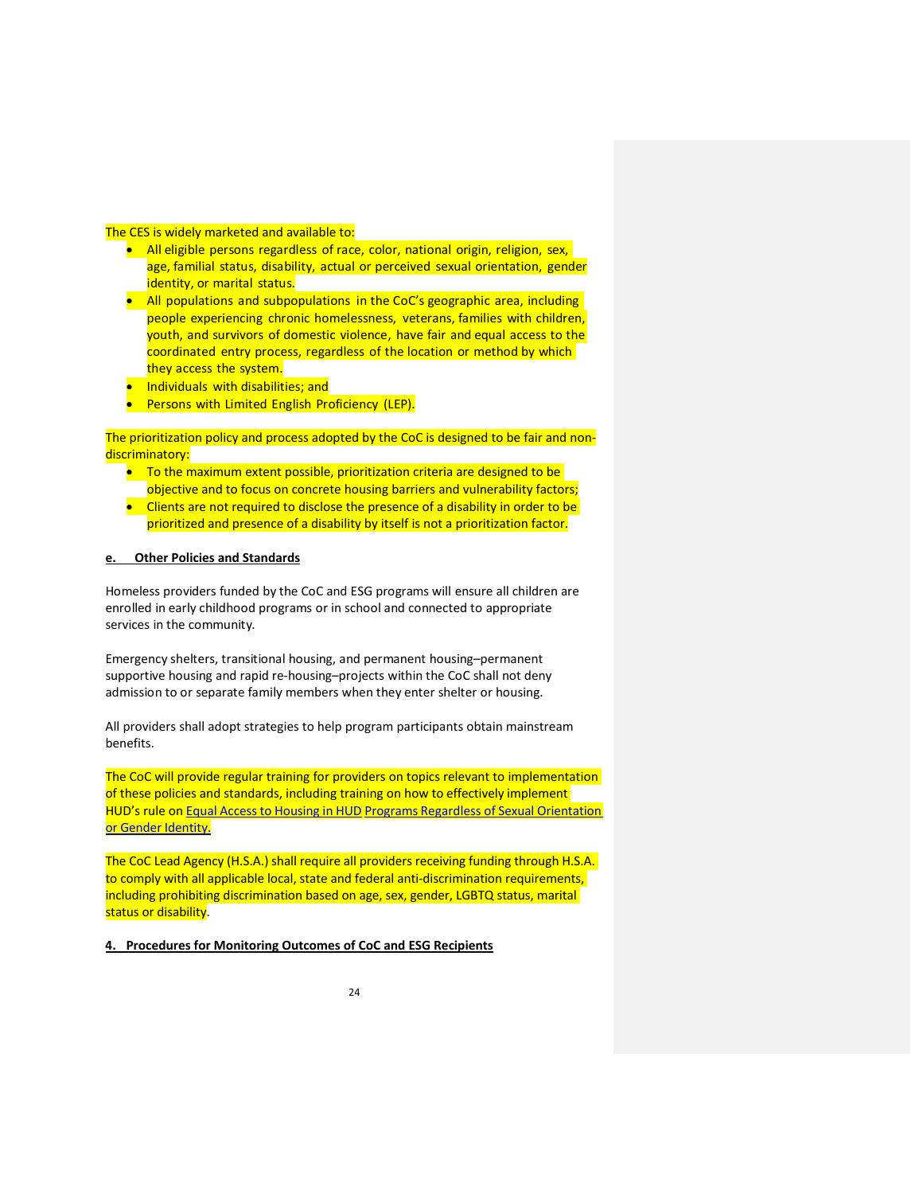## The CES is widely marketed and available to:

- All eligible persons regardless of race, color, national origin, religion, sex, age, familial status, disability, actual or perceived sexual orientation, gender identity, or marital status.
- All populations and subpopulations in the CoC's geographic area, including people experiencing chronic homelessness, veterans, families with children, youth, and survivors of domestic violence, have fair and equal access to the coordinated entry process, regardless of the location or method by which they access the system.
- **Individuals with disabilities; and**
- **•** Persons with Limited English Proficiency (LEP).

The prioritization policy and process adopted by the CoC is designed to be fair and nondiscriminatory:

- To the maximum extent possible, prioritization criteria are designed to be objective and to focus on concrete housing barriers and vulnerability factors;
- Clients are not required to disclose the presence of a disability in order to be prioritized and presence of a disability by itself is not a prioritization factor.

## **e. Other Policies and Standards**

Homeless providers funded by the CoC and ESG programs will ensure all children are enrolled in early childhood programs or in school and connected to appropriate services in the community.

Emergency shelters, transitional housing, and permanent housing–permanent supportive housing and rapid re‐housing–projects within the CoC shall not deny admission to or separate family members when they enter shelter or housing.

All providers shall adopt strategies to help program participants obtain mainstream benefits.

The CoC will provide regular training for providers on topics relevant to implementation of these policies and standards, including training on how to effectively implement HUD's rule on Equal Access to Housing in HUD Programs Regardless of Sexual Orientation or Gender Identity.

The CoC Lead Agency (H.S.A.) shall require all providers receiving funding through H.S.A. to comply with all applicable local, state and federal anti-discrimination requirements, including prohibiting discrimination based on age, sex, gender, LGBTQ status, marital status or disability.

**4. Procedures for Monitoring Outcomes of CoC and ESG Recipients**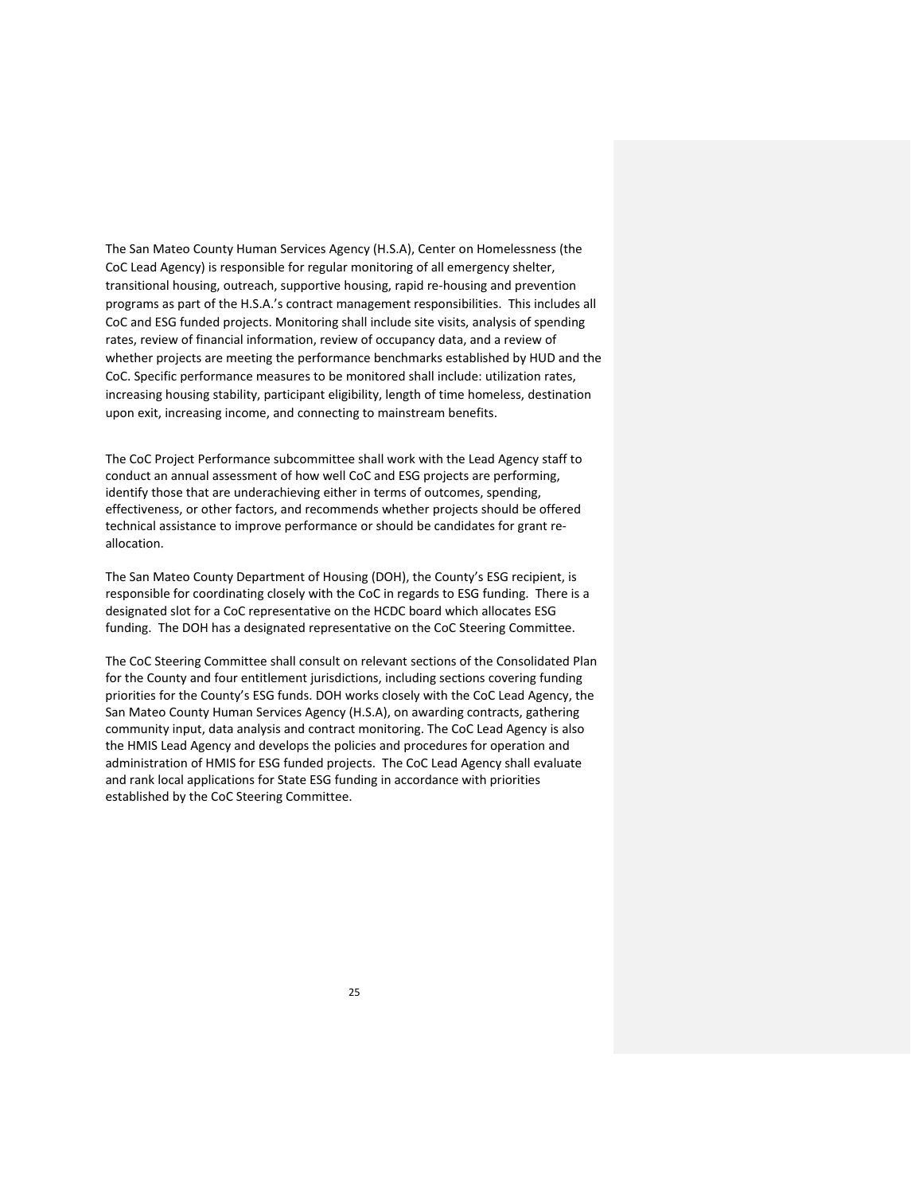The San Mateo County Human Services Agency (H.S.A), Center on Homelessness (the CoC Lead Agency) is responsible for regular monitoring of all emergency shelter, transitional housing, outreach, supportive housing, rapid re‐housing and prevention programs as part of the H.S.A.'s contract management responsibilities. This includes all CoC and ESG funded projects. Monitoring shall include site visits, analysis of spending rates, review of financial information, review of occupancy data, and a review of whether projects are meeting the performance benchmarks established by HUD and the CoC. Specific performance measures to be monitored shall include: utilization rates, increasing housing stability, participant eligibility, length of time homeless, destination upon exit, increasing income, and connecting to mainstream benefits.

The CoC Project Performance subcommittee shall work with the Lead Agency staff to conduct an annual assessment of how well CoC and ESG projects are performing, identify those that are underachieving either in terms of outcomes, spending, effectiveness, or other factors, and recommends whether projects should be offered technical assistance to improve performance or should be candidates for grant re‐ allocation.

The San Mateo County Department of Housing (DOH), the County's ESG recipient, is responsible for coordinating closely with the CoC in regards to ESG funding. There is a designated slot for a CoC representative on the HCDC board which allocates ESG funding. The DOH has a designated representative on the CoC Steering Committee.

The CoC Steering Committee shall consult on relevant sections of the Consolidated Plan for the County and four entitlement jurisdictions, including sections covering funding priorities for the County's ESG funds. DOH works closely with the CoC Lead Agency, the San Mateo County Human Services Agency (H.S.A), on awarding contracts, gathering community input, data analysis and contract monitoring. The CoC Lead Agency is also the HMIS Lead Agency and develops the policies and procedures for operation and administration of HMIS for ESG funded projects. The CoC Lead Agency shall evaluate and rank local applications for State ESG funding in accordance with priorities established by the CoC Steering Committee.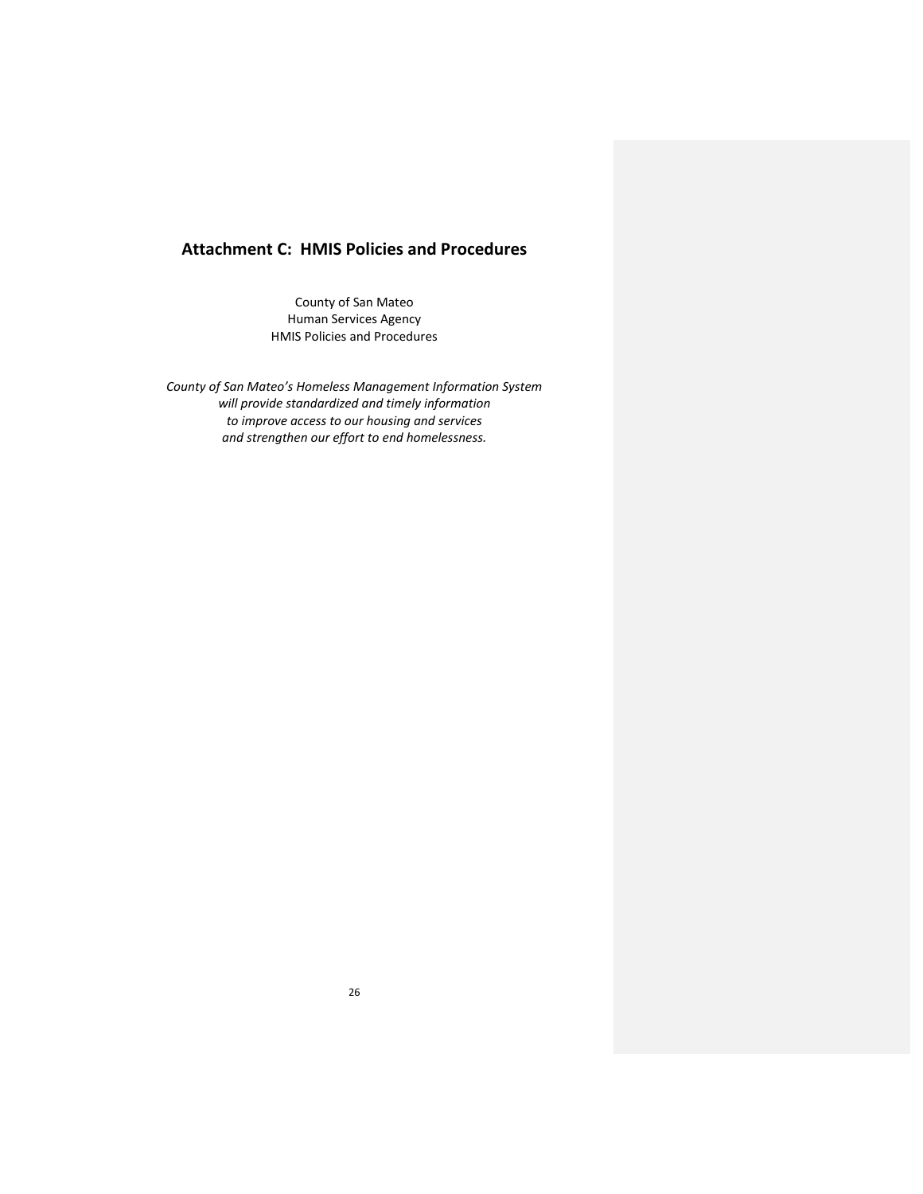# **Attachment C: HMIS Policies and Procedures**

County of San Mateo Human Services Agency HMIS Policies and Procedures

*County of San Mateo's Homeless Management Information System will provide standardized and timely information to improve access to our housing and services and strengthen our effort to end homelessness.*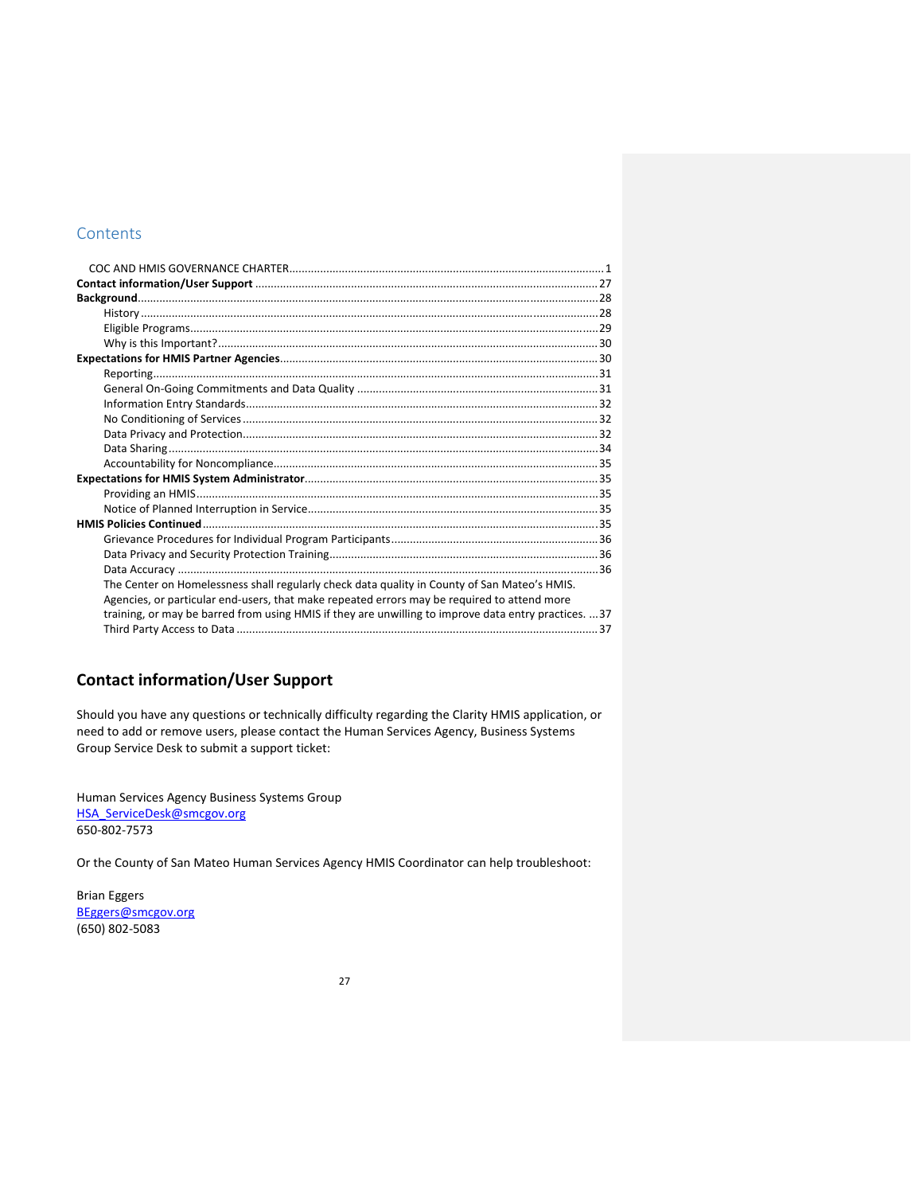# **Contents**

| The Center on Homelessness shall regularly check data quality in County of San Mateo's HMIS.         |  |
|------------------------------------------------------------------------------------------------------|--|
| Agencies, or particular end-users, that make repeated errors may be required to attend more          |  |
| training, or may be barred from using HMIS if they are unwilling to improve data entry practices. 37 |  |
|                                                                                                      |  |

# **Contact information/User Support**

Should you have any questions or technically difficulty regarding the Clarity HMIS application, or need to add or remove users, please contact the Human Services Agency, Business Systems Group Service Desk to submit a support ticket:

Human Services Agency Business Systems Group HSA\_ServiceDesk@smcgov.org 650‐802‐7573

Or the County of San Mateo Human Services Agency HMIS Coordinator can help troubleshoot:

Brian Eggers BEggers@smcgov.org (650) 802‐5083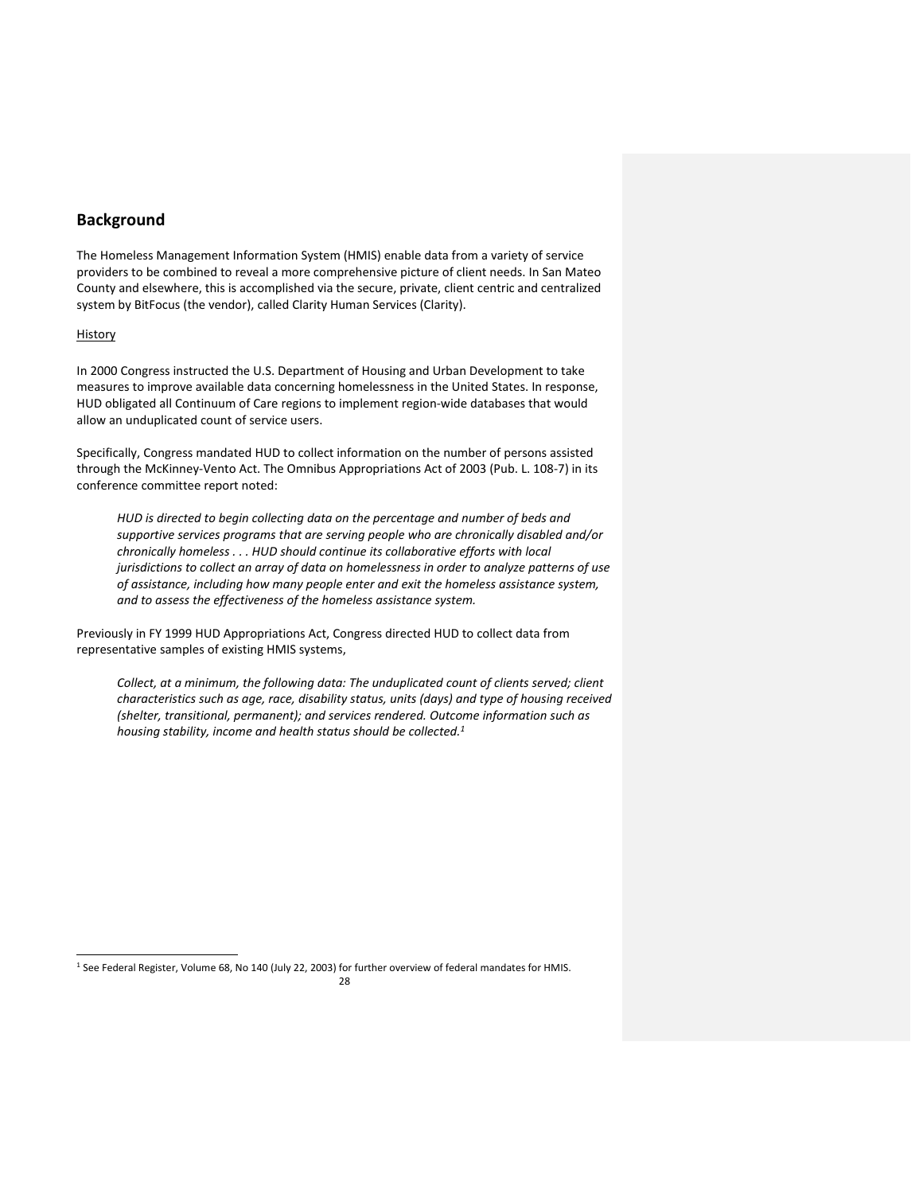# **Background**

The Homeless Management Information System (HMIS) enable data from a variety of service providers to be combined to reveal a more comprehensive picture of client needs. In San Mateo County and elsewhere, this is accomplished via the secure, private, client centric and centralized system by BitFocus (the vendor), called Clarity Human Services (Clarity).

#### History

In 2000 Congress instructed the U.S. Department of Housing and Urban Development to take measures to improve available data concerning homelessness in the United States. In response, HUD obligated all Continuum of Care regions to implement region‐wide databases that would allow an unduplicated count of service users.

Specifically, Congress mandated HUD to collect information on the number of persons assisted through the McKinney‐Vento Act. The Omnibus Appropriations Act of 2003 (Pub. L. 108‐7) in its conference committee report noted:

*HUD is directed to begin collecting data on the percentage and number of beds and supportive services programs that are serving people who are chronically disabled and/or chronically homeless . . . HUD should continue its collaborative efforts with local jurisdictions to collect an array of data on homelessness in order to analyze patterns of use of assistance, including how many people enter and exit the homeless assistance system, and to assess the effectiveness of the homeless assistance system.*

Previously in FY 1999 HUD Appropriations Act, Congress directed HUD to collect data from representative samples of existing HMIS systems,

*Collect, at a minimum, the following data: The unduplicated count of clients served; client characteristics such as age, race, disability status, units (days) and type of housing received (shelter, transitional, permanent); and services rendered. Outcome information such as housing stability, income and health status should be collected.1*

<sup>1</sup> See Federal Register, Volume 68, No 140 (July 22, 2003) for further overview of federal mandates for HMIS.

<u> Andrew Maria (1989)</u>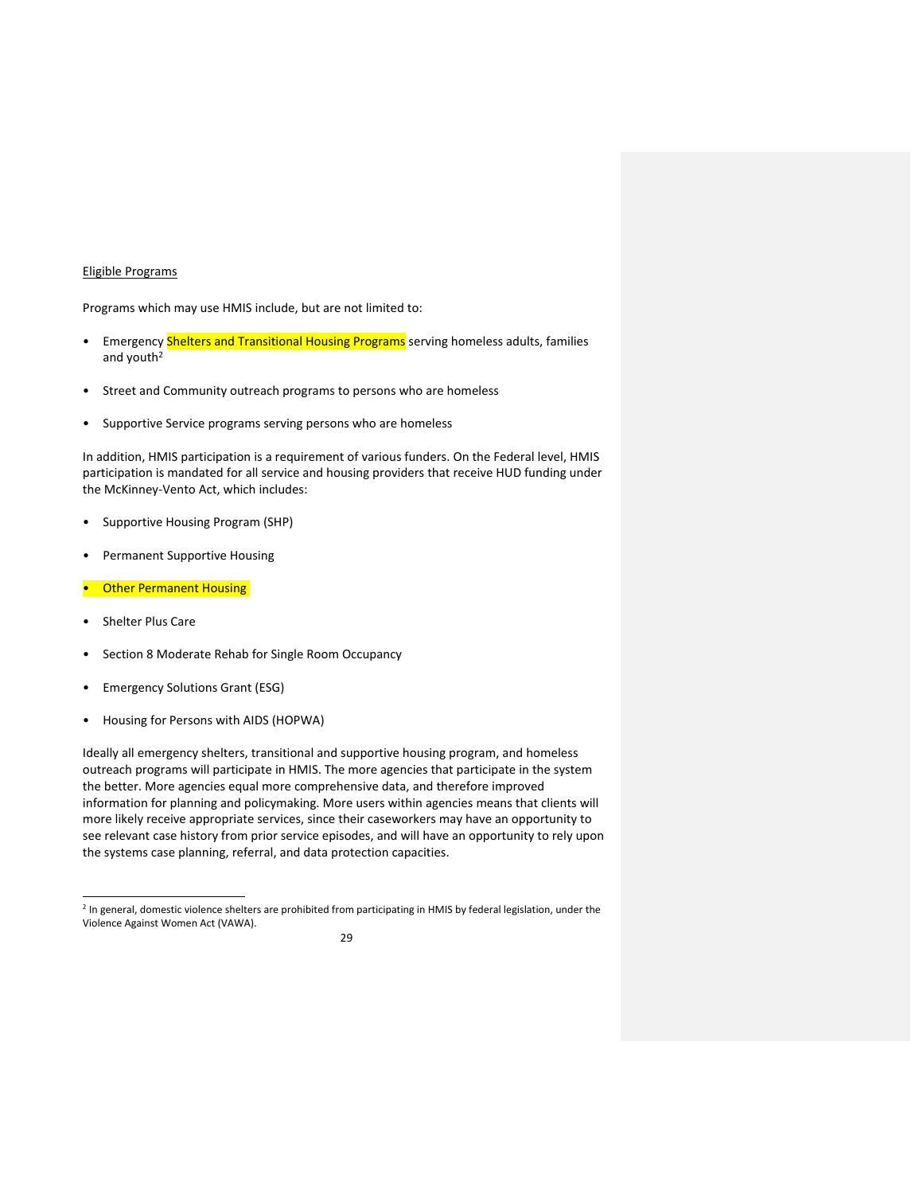#### Eligible Programs

Programs which may use HMIS include, but are not limited to:

- Emergency Shelters and Transitional Housing Programs serving homeless adults, families and youth<sup>2</sup>
- Street and Community outreach programs to persons who are homeless
- Supportive Service programs serving persons who are homeless

In addition, HMIS participation is a requirement of various funders. On the Federal level, HMIS participation is mandated for all service and housing providers that receive HUD funding under the McKinney‐Vento Act, which includes:

- Supportive Housing Program (SHP)
- Permanent Supportive Housing
- **Other Permanent Housing**
- Shelter Plus Care
- Section 8 Moderate Rehab for Single Room Occupancy
- Emergency Solutions Grant (ESG)

• Housing for Persons with AIDS (HOPWA)

Ideally all emergency shelters, transitional and supportive housing program, and homeless outreach programs will participate in HMIS. The more agencies that participate in the system the better. More agencies equal more comprehensive data, and therefore improved information for planning and policymaking. More users within agencies means that clients will more likely receive appropriate services, since their caseworkers may have an opportunity to see relevant case history from prior service episodes, and will have an opportunity to rely upon the systems case planning, referral, and data protection capacities.

<sup>&</sup>lt;sup>2</sup> In general, domestic violence shelters are prohibited from participating in HMIS by federal legislation, under the Violence Against Women Act (VAWA).

<sup>29</sup>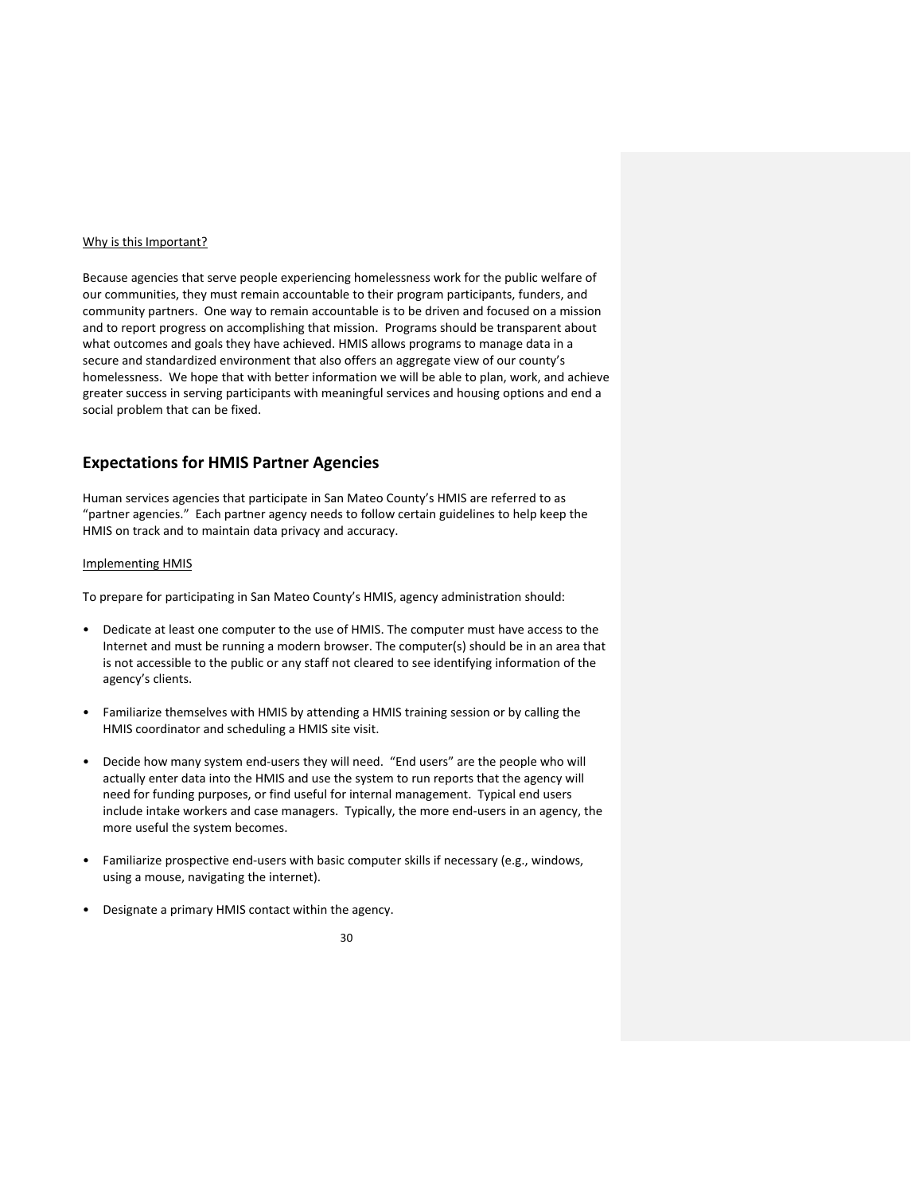#### Why is this Important?

Because agencies that serve people experiencing homelessness work for the public welfare of our communities, they must remain accountable to their program participants, funders, and community partners. One way to remain accountable is to be driven and focused on a mission and to report progress on accomplishing that mission. Programs should be transparent about what outcomes and goals they have achieved. HMIS allows programs to manage data in a secure and standardized environment that also offers an aggregate view of our county's homelessness. We hope that with better information we will be able to plan, work, and achieve greater success in serving participants with meaningful services and housing options and end a social problem that can be fixed.

# **Expectations for HMIS Partner Agencies**

Human services agencies that participate in San Mateo County's HMIS are referred to as "partner agencies." Each partner agency needs to follow certain guidelines to help keep the HMIS on track and to maintain data privacy and accuracy.

#### Implementing HMIS

To prepare for participating in San Mateo County's HMIS, agency administration should:

- Dedicate at least one computer to the use of HMIS. The computer must have access to the Internet and must be running a modern browser. The computer(s) should be in an area that is not accessible to the public or any staff not cleared to see identifying information of the agency's clients.
- Familiarize themselves with HMIS by attending a HMIS training session or by calling the HMIS coordinator and scheduling a HMIS site visit.
- Decide how many system end‐users they will need. "End users" are the people who will actually enter data into the HMIS and use the system to run reports that the agency will need for funding purposes, or find useful for internal management. Typical end users include intake workers and case managers. Typically, the more end-users in an agency, the more useful the system becomes.
- Familiarize prospective end-users with basic computer skills if necessary (e.g., windows, using a mouse, navigating the internet).
- Designate a primary HMIS contact within the agency.

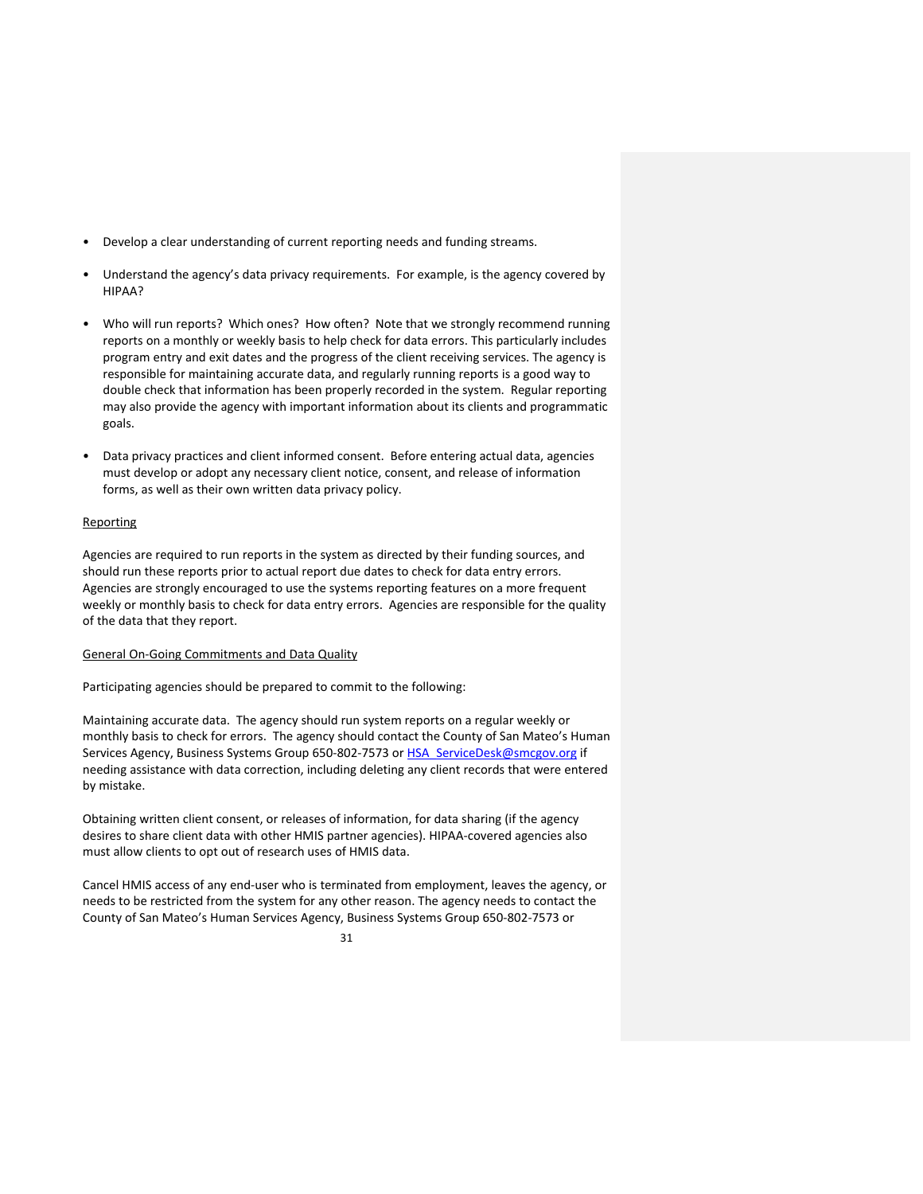- Develop a clear understanding of current reporting needs and funding streams.
- Understand the agency's data privacy requirements. For example, is the agency covered by HIPAA?
- Who will run reports? Which ones? How often? Note that we strongly recommend running reports on a monthly or weekly basis to help check for data errors. This particularly includes program entry and exit dates and the progress of the client receiving services. The agency is responsible for maintaining accurate data, and regularly running reports is a good way to double check that information has been properly recorded in the system. Regular reporting may also provide the agency with important information about its clients and programmatic goals.
- Data privacy practices and client informed consent. Before entering actual data, agencies must develop or adopt any necessary client notice, consent, and release of information forms, as well as their own written data privacy policy.

## **Reporting**

Agencies are required to run reports in the system as directed by their funding sources, and should run these reports prior to actual report due dates to check for data entry errors. Agencies are strongly encouraged to use the systems reporting features on a more frequent weekly or monthly basis to check for data entry errors. Agencies are responsible for the quality of the data that they report.

## General On‐Going Commitments and Data Quality

Participating agencies should be prepared to commit to the following:

Maintaining accurate data. The agency should run system reports on a regular weekly or monthly basis to check for errors. The agency should contact the County of San Mateo's Human Services Agency, Business Systems Group 650‐802‐7573 or HSA\_ServiceDesk@smcgov.org if needing assistance with data correction, including deleting any client records that were entered by mistake.

Obtaining written client consent, or releases of information, for data sharing (if the agency desires to share client data with other HMIS partner agencies). HIPAA‐covered agencies also must allow clients to opt out of research uses of HMIS data.

Cancel HMIS access of any end‐user who is terminated from employment, leaves the agency, or needs to be restricted from the system for any other reason. The agency needs to contact the County of San Mateo's Human Services Agency, Business Systems Group 650‐802‐7573 or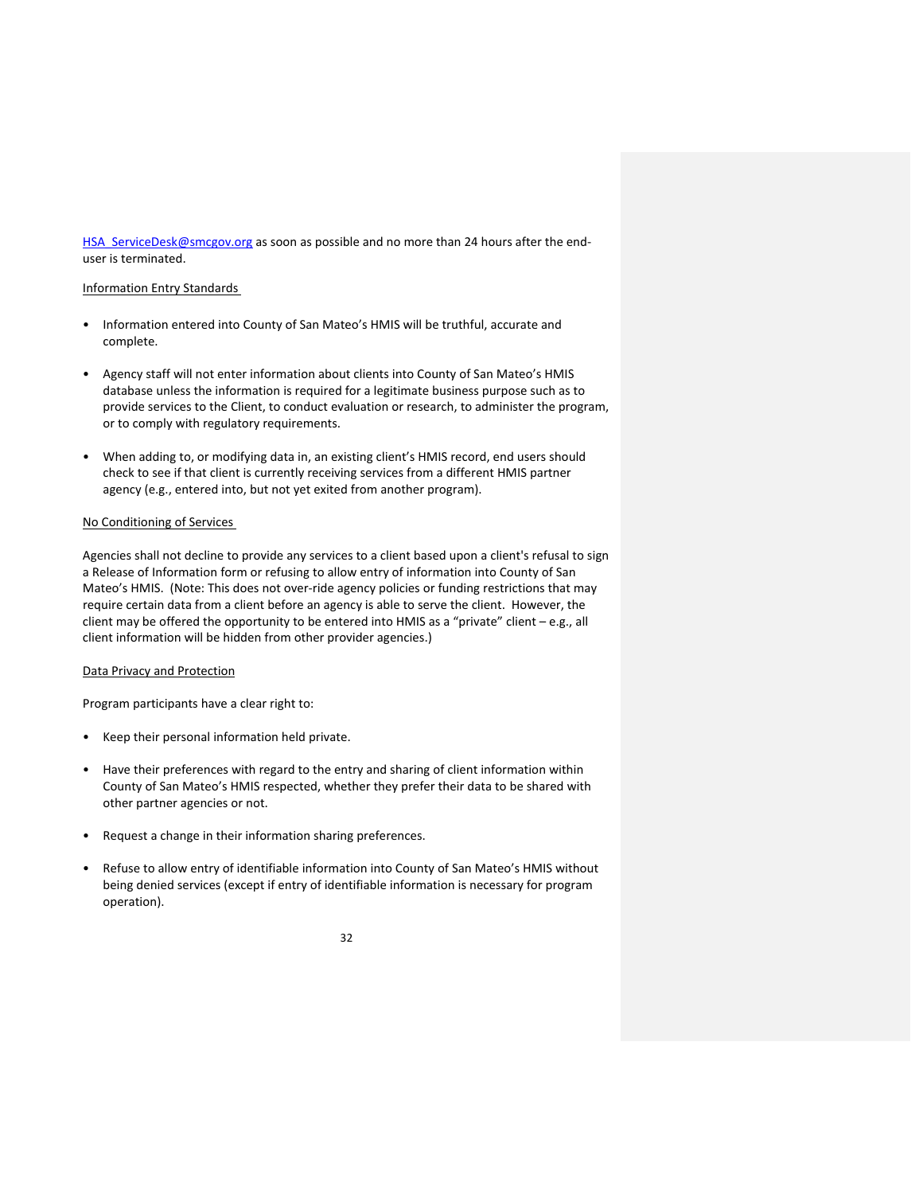HSA ServiceDesk@smcgov.org as soon as possible and no more than 24 hours after the enduser is terminated.

## Information Entry Standards

- Information entered into County of San Mateo's HMIS will be truthful, accurate and complete.
- Agency staff will not enter information about clients into County of San Mateo's HMIS database unless the information is required for a legitimate business purpose such as to provide services to the Client, to conduct evaluation or research, to administer the program, or to comply with regulatory requirements.
- When adding to, or modifying data in, an existing client's HMIS record, end users should check to see if that client is currently receiving services from a different HMIS partner agency (e.g., entered into, but not yet exited from another program).

## No Conditioning of Services

Agencies shall not decline to provide any services to a client based upon a client's refusal to sign a Release of Information form or refusing to allow entry of information into County of San Mateo's HMIS. (Note: This does not over‐ride agency policies or funding restrictions that may require certain data from a client before an agency is able to serve the client. However, the client may be offered the opportunity to be entered into HMIS as a "private" client – e.g., all client information will be hidden from other provider agencies.)

## Data Privacy and Protection

Program participants have a clear right to:

- Keep their personal information held private.
- Have their preferences with regard to the entry and sharing of client information within County of San Mateo's HMIS respected, whether they prefer their data to be shared with other partner agencies or not.
- Request a change in their information sharing preferences.
- Refuse to allow entry of identifiable information into County of San Mateo's HMIS without being denied services (except if entry of identifiable information is necessary for program operation).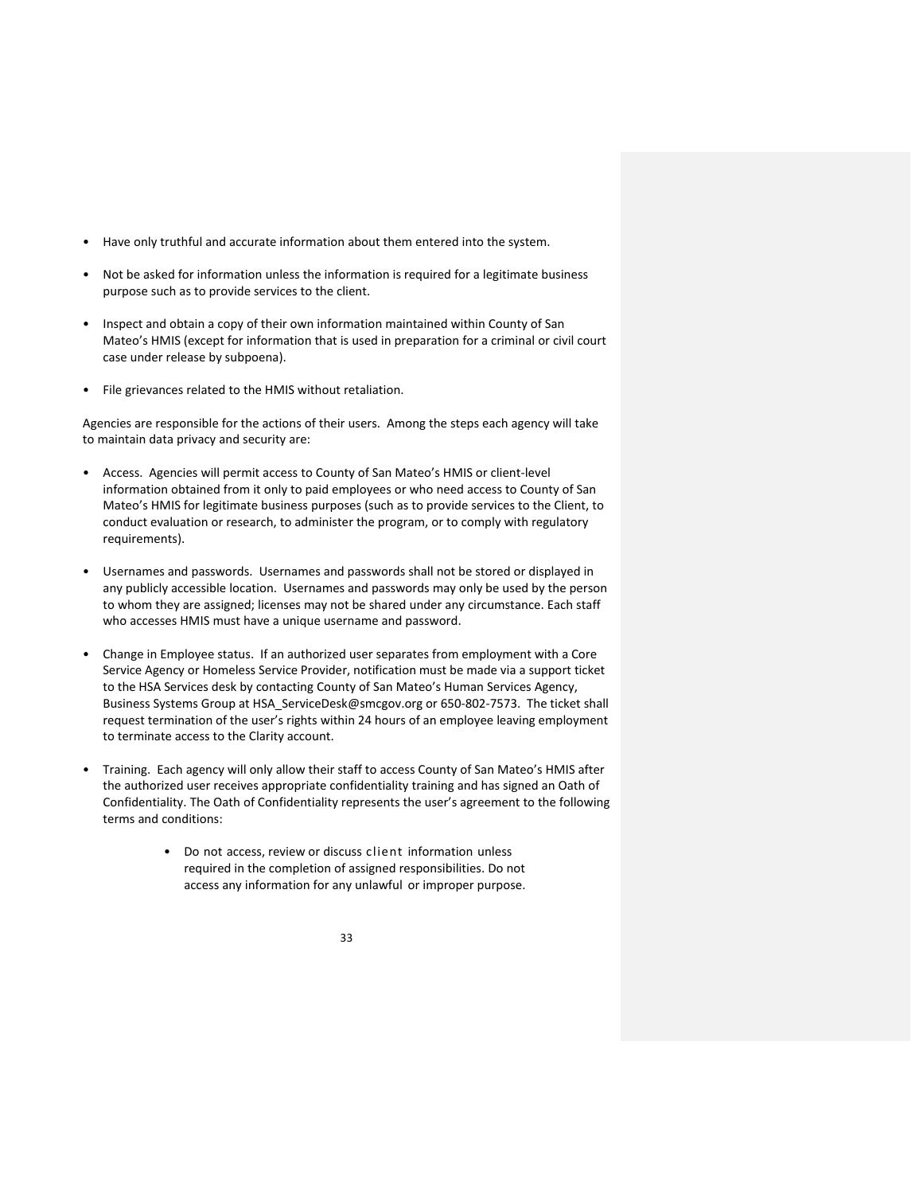- Have only truthful and accurate information about them entered into the system.
- Not be asked for information unless the information is required for a legitimate business purpose such as to provide services to the client.
- Inspect and obtain a copy of their own information maintained within County of San Mateo's HMIS (except for information that is used in preparation for a criminal or civil court case under release by subpoena).
- File grievances related to the HMIS without retaliation.

Agencies are responsible for the actions of their users. Among the steps each agency will take to maintain data privacy and security are:

- Access. Agencies will permit access to County of San Mateo's HMIS or client‐level information obtained from it only to paid employees or who need access to County of San Mateo's HMIS for legitimate business purposes (such as to provide services to the Client, to conduct evaluation or research, to administer the program, or to comply with regulatory requirements).
- Usernames and passwords. Usernames and passwords shall not be stored or displayed in any publicly accessible location. Usernames and passwords may only be used by the person to whom they are assigned; licenses may not be shared under any circumstance. Each staff who accesses HMIS must have a unique username and password.
- Change in Employee status. If an authorized user separates from employment with a Core Service Agency or Homeless Service Provider, notification must be made via a support ticket to the HSA Services desk by contacting County of San Mateo's Human Services Agency, Business Systems Group at HSA\_ServiceDesk@smcgov.org or 650‐802‐7573. The ticket shall request termination of the user's rights within 24 hours of an employee leaving employment to terminate access to the Clarity account.
- Training. Each agency will only allow their staff to access County of San Mateo's HMIS after the authorized user receives appropriate confidentiality training and has signed an Oath of Confidentiality. The Oath of Confidentiality represents the user's agreement to the following terms and conditions:
	- Do not access, review or discuss client information unless required in the completion of assigned responsibilities. Do not access any information for any unlawful or improper purpose.

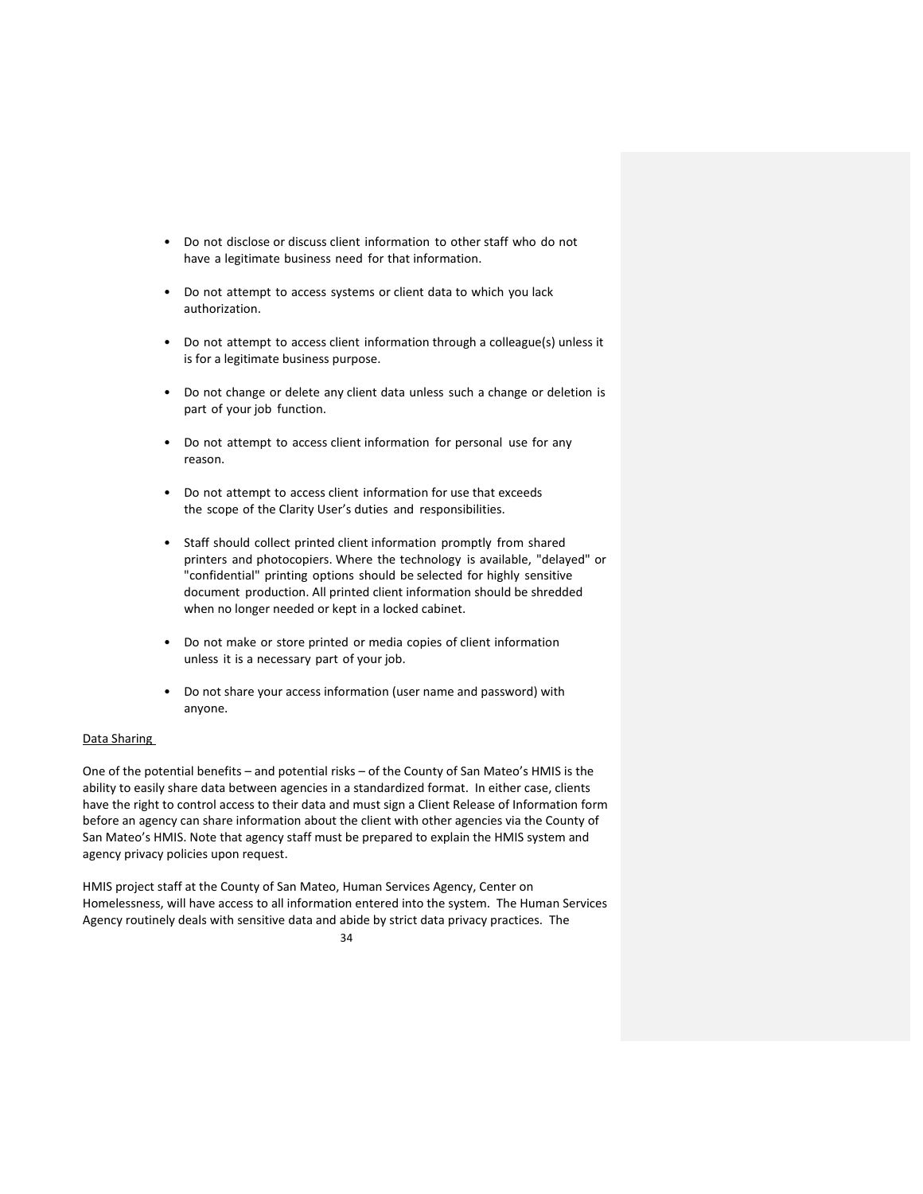- Do not disclose or discuss client information to other staff who do not have a legitimate business need for that information.
- Do not attempt to access systems or client data to which you lack authorization.
- Do not attempt to access client information through a colleague(s) unless it is for a legitimate business purpose.
- Do not change or delete any client data unless such a change or deletion is part of your job function.
- Do not attempt to access client information for personal use for any reason.
- Do not attempt to access client information for use that exceeds the scope of the Clarity User's duties and responsibilities.
- Staff should collect printed client information promptly from shared printers and photocopiers. Where the technology is available, "delayed" or "confidential" printing options should be selected for highly sensitive document production. All printed client information should be shredded when no longer needed or kept in a locked cabinet.
- Do not make or store printed or media copies of client information unless it is a necessary part of your job.
- Do not share your access information (user name and password) with anyone.

# Data Sharing

One of the potential benefits – and potential risks – of the County of San Mateo's HMIS is the ability to easily share data between agencies in a standardized format. In either case, clients have the right to control access to their data and must sign a Client Release of Information form before an agency can share information about the client with other agencies via the County of San Mateo's HMIS. Note that agency staff must be prepared to explain the HMIS system and agency privacy policies upon request.

HMIS project staff at the County of San Mateo, Human Services Agency, Center on Homelessness, will have access to all information entered into the system. The Human Services Agency routinely deals with sensitive data and abide by strict data privacy practices. The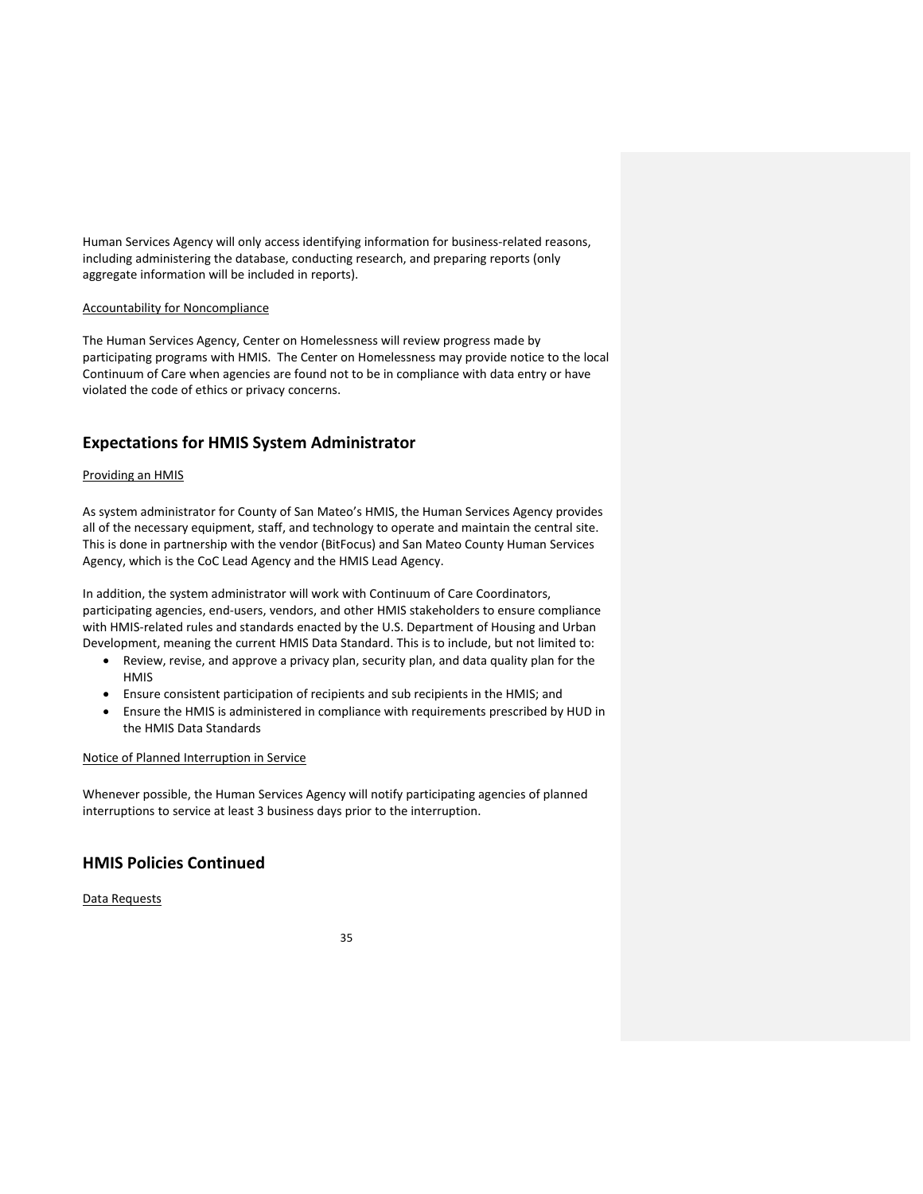Human Services Agency will only access identifying information for business-related reasons, including administering the database, conducting research, and preparing reports (only aggregate information will be included in reports).

## Accountability for Noncompliance

The Human Services Agency, Center on Homelessness will review progress made by participating programs with HMIS. The Center on Homelessness may provide notice to the local Continuum of Care when agencies are found not to be in compliance with data entry or have violated the code of ethics or privacy concerns.

# **Expectations for HMIS System Administrator**

#### Providing an HMIS

As system administrator for County of San Mateo's HMIS, the Human Services Agency provides all of the necessary equipment, staff, and technology to operate and maintain the central site. This is done in partnership with the vendor (BitFocus) and San Mateo County Human Services Agency, which is the CoC Lead Agency and the HMIS Lead Agency.

In addition, the system administrator will work with Continuum of Care Coordinators, participating agencies, end‐users, vendors, and other HMIS stakeholders to ensure compliance with HMIS-related rules and standards enacted by the U.S. Department of Housing and Urban Development, meaning the current HMIS Data Standard. This is to include, but not limited to:

- Review, revise, and approve a privacy plan, security plan, and data quality plan for the **HMIS**
- Ensure consistent participation of recipients and sub recipients in the HMIS; and
- Ensure the HMIS is administered in compliance with requirements prescribed by HUD in the HMIS Data Standards

# Notice of Planned Interruption in Service

Whenever possible, the Human Services Agency will notify participating agencies of planned interruptions to service at least 3 business days prior to the interruption.

# **HMIS Policies Continued**

Data Requests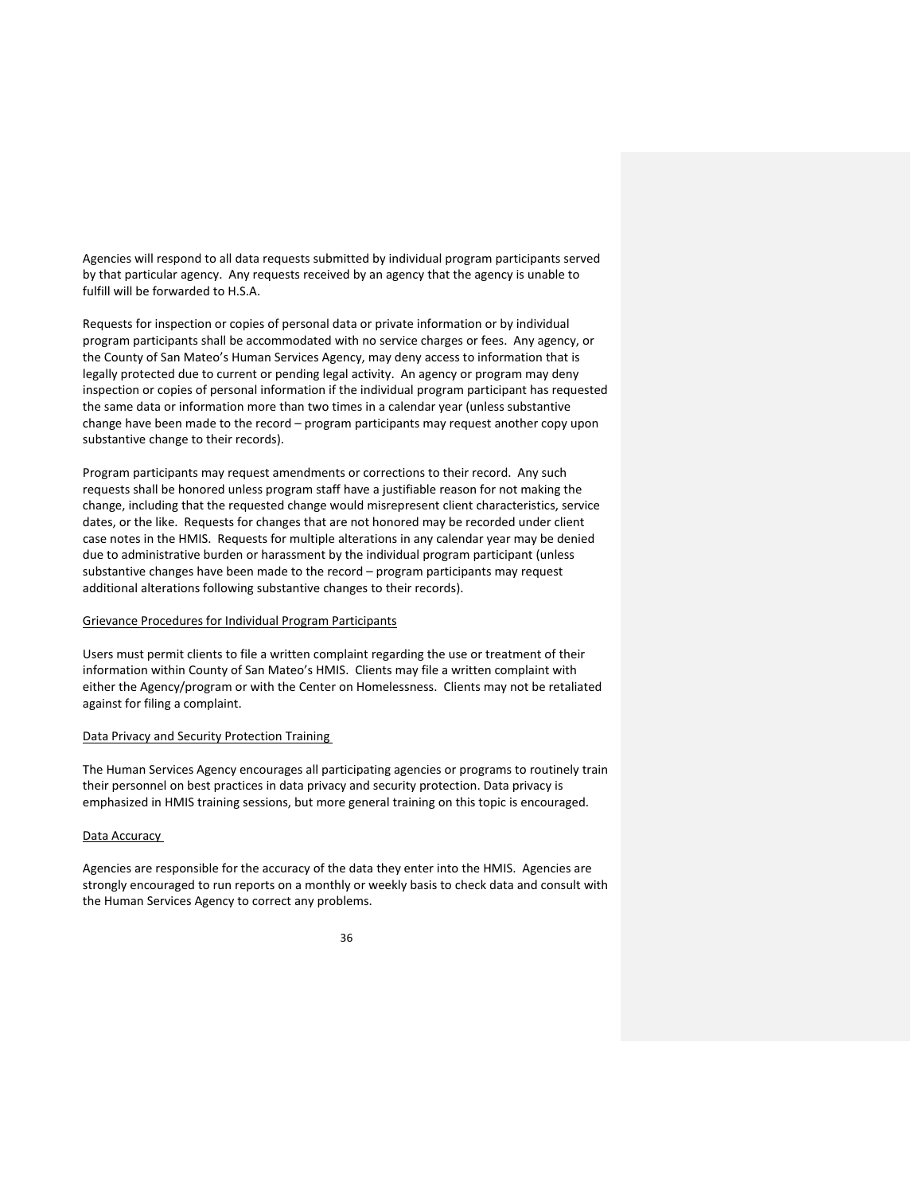Agencies will respond to all data requests submitted by individual program participants served by that particular agency. Any requests received by an agency that the agency is unable to fulfill will be forwarded to H.S.A.

Requests for inspection or copies of personal data or private information or by individual program participants shall be accommodated with no service charges or fees. Any agency, or the County of San Mateo's Human Services Agency, may deny access to information that is legally protected due to current or pending legal activity. An agency or program may deny inspection or copies of personal information if the individual program participant has requested the same data or information more than two times in a calendar year (unless substantive change have been made to the record – program participants may request another copy upon substantive change to their records).

Program participants may request amendments or corrections to their record. Any such requests shall be honored unless program staff have a justifiable reason for not making the change, including that the requested change would misrepresent client characteristics, service dates, or the like. Requests for changes that are not honored may be recorded under client case notes in the HMIS. Requests for multiple alterations in any calendar year may be denied due to administrative burden or harassment by the individual program participant (unless substantive changes have been made to the record – program participants may request additional alterations following substantive changes to their records).

## Grievance Procedures for Individual Program Participants

Users must permit clients to file a written complaint regarding the use or treatment of their information within County of San Mateo's HMIS. Clients may file a written complaint with either the Agency/program or with the Center on Homelessness. Clients may not be retaliated against for filing a complaint.

#### Data Privacy and Security Protection Training

The Human Services Agency encourages all participating agencies or programs to routinely train their personnel on best practices in data privacy and security protection. Data privacy is emphasized in HMIS training sessions, but more general training on this topic is encouraged.

#### Data Accuracy

Agencies are responsible for the accuracy of the data they enter into the HMIS. Agencies are strongly encouraged to run reports on a monthly or weekly basis to check data and consult with the Human Services Agency to correct any problems.